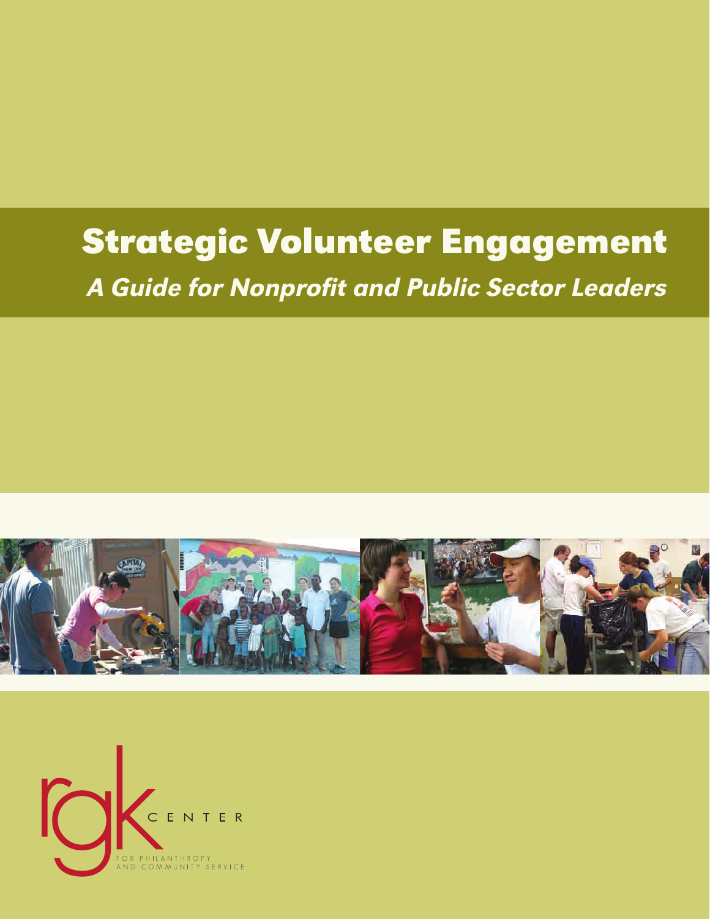# **Strategic Volunteer Engagement**

## A Guide for Nonprofit and Public Sector Leaders



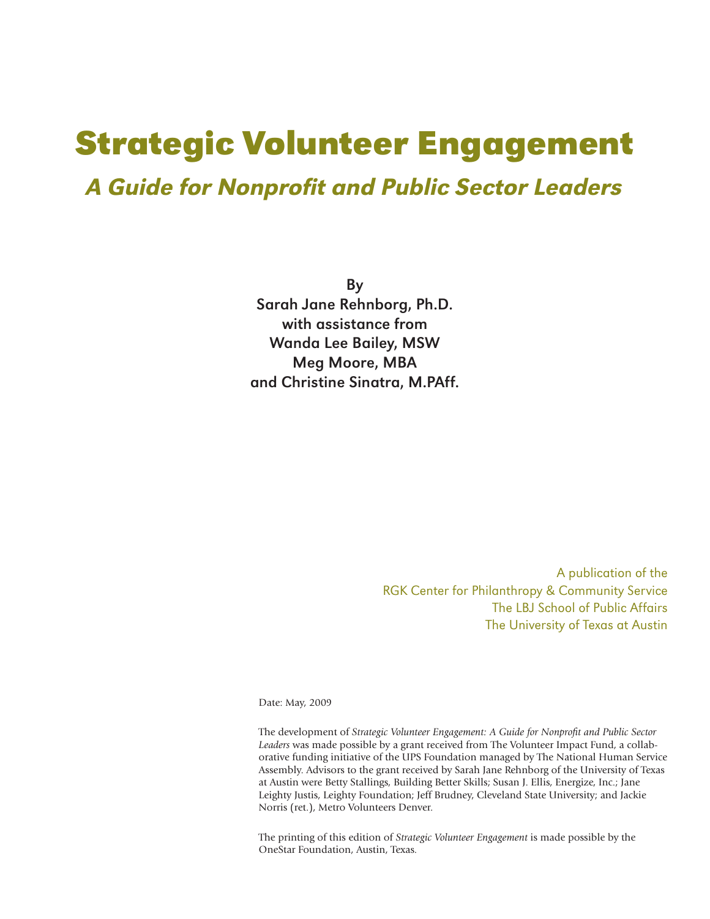# **Strategic Volunteer Engagement**

## A Guide for Nonprofit and Public Sector Leaders

By Sarah Jane Rehnborg, Ph.D. with assistance from Wanda Lee Bailey, MSW Meg Moore, MBA and Christine Sinatra, M.PAff.

> A publication of the RGK Center for Philanthropy & Community Service The LBJ School of Public Affairs The University of Texas at Austin

Date: May, 2009

The development of *Strategic Volunteer Engagement: A Guide for Nonprofit and Public Sector Leaders* was made possible by a grant received from The Volunteer Impact Fund, a collaborative funding initiative of the UPS Foundation managed by The National Human Service Assembly. Advisors to the grant received by Sarah Jane Rehnborg of the University of Texas at Austin were Betty Stallings, Building Better Skills; Susan J. Ellis, Energize, Inc.; Jane Leighty Justis, Leighty Foundation; Jeff Brudney, Cleveland State University; and Jackie Norris (ret.), Metro Volunteers Denver.

The printing of this edition of *Strategic Volunteer Engagement* is made possible by the OneStar Foundation, Austin, Texas.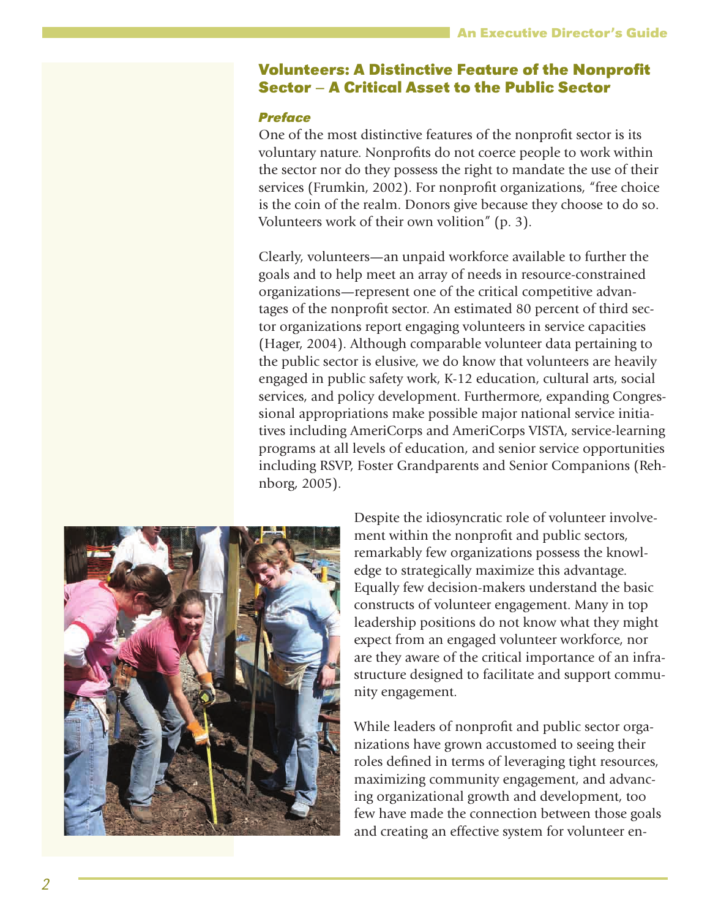### **Volunteers: A Distinctive Feature of the Nonprofit Sector – A Critical Asset to the Public Sector**

#### **Preface**

One of the most distinctive features of the nonprofit sector is its voluntary nature. Nonprofits do not coerce people to work within the sector nor do they possess the right to mandate the use of their services (Frumkin, 2002). For nonprofit organizations, "free choice is the coin of the realm. Donors give because they choose to do so. Volunteers work of their own volition" (p. 3).

Clearly, volunteers—an unpaid workforce available to further the goals and to help meet an array of needs in resource-constrained organizations—represent one of the critical competitive advan tages of the nonprofit sector. An estimated 80 percent of third sec tor organizations report engaging volunteers in service capacities (Hager, 2004). Although comparable volunteer data pertaining to the public sector is elusive, we do know that volunteers are heavily engaged in public safety work, K-12 education, cultural arts, social services, and policy development. Furthermore, expanding Congres sional appropriations make possible major national service initia tives including AmeriCorps and AmeriCorps VISTA, service-learning programs at all levels of education, and senior service opportunities including RSVP, Foster Grandparents and Senior Companions (Reh nborg, 2005).



Despite the idiosyncratic role of volunteer involve ment within the nonprofit and public sectors, remarkably few organizations possess the knowl edge to strategically maximize this advantage. Equally few decision-makers understand the basic constructs of volunteer engagement. Many in top leadership positions do not know what they might expect from an engaged volunteer workforce, nor are they aware of the critical importance of an infra structure designed to facilitate and support commu nity engagement.

While leaders of nonprofit and public sector orga nizations have grown accustomed to seeing their roles defined in terms of leveraging tight resources, maximizing community engagement, and advanc ing organizational growth and development, too few have made the connection between those goals and creating an effective system for volunteer en -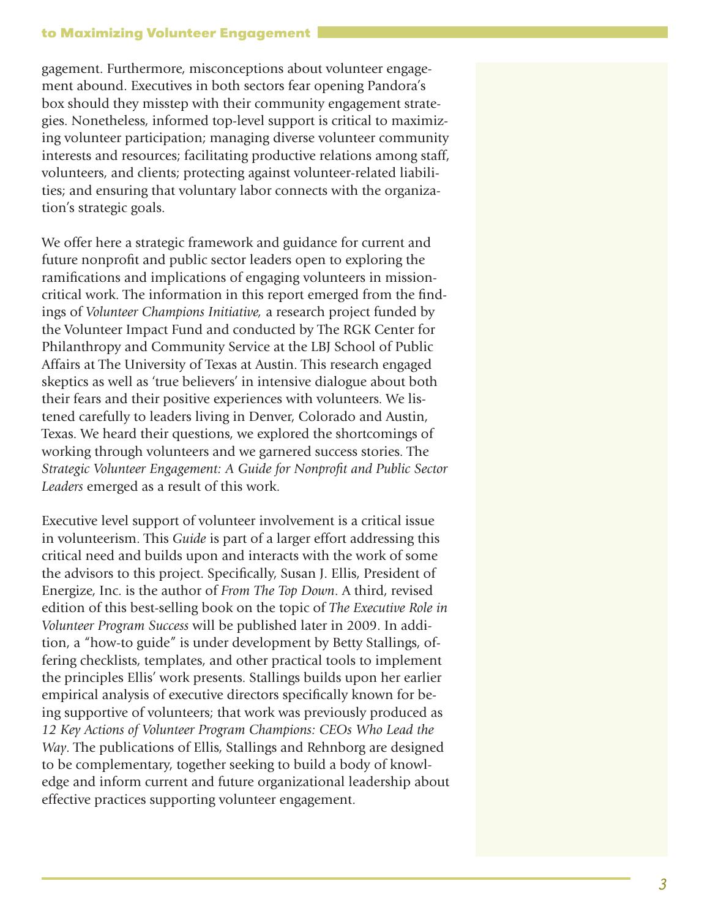gagement. Furthermore, misconceptions about volunteer engagement abound. Executives in both sectors fear opening Pandora's box should they misstep with their community engagement strategies. Nonetheless, informed top-level support is critical to maximizing volunteer participation; managing diverse volunteer community interests and resources; facilitating productive relations among staff, volunteers, and clients; protecting against volunteer-related liabilities; and ensuring that voluntary labor connects with the organization's strategic goals.

We offer here a strategic framework and guidance for current and future nonprofit and public sector leaders open to exploring the ramifications and implications of engaging volunteers in missioncritical work. The information in this report emerged from the findings of *Volunteer Champions Initiative,* a research project funded by the Volunteer Impact Fund and conducted by The RGK Center for Philanthropy and Community Service at the LBJ School of Public Affairs at The University of Texas at Austin. This research engaged skeptics as well as 'true believers' in intensive dialogue about both their fears and their positive experiences with volunteers. We listened carefully to leaders living in Denver, Colorado and Austin, Texas. We heard their questions, we explored the shortcomings of working through volunteers and we garnered success stories. The *Strategic Volunteer Engagement: A Guide for Nonprofit and Public Sector Leaders* emerged as a result of this work.

Executive level support of volunteer involvement is a critical issue in volunteerism. This *Guide* is part of a larger effort addressing this critical need and builds upon and interacts with the work of some the advisors to this project. Specifically, Susan J. Ellis, President of Energize, Inc. is the author of *From The Top Down*. A third, revised edition of this best-selling book on the topic of *The Executive Role in Volunteer Program Success* will be published later in 2009. In addition, a "how-to guide" is under development by Betty Stallings, offering checklists, templates, and other practical tools to implement the principles Ellis' work presents. Stallings builds upon her earlier empirical analysis of executive directors specifically known for being supportive of volunteers; that work was previously produced as *12 Key Actions of Volunteer Program Champions: CEOs Who Lead the Way*. The publications of Ellis, Stallings and Rehnborg are designed to be complementary, together seeking to build a body of knowledge and inform current and future organizational leadership about effective practices supporting volunteer engagement.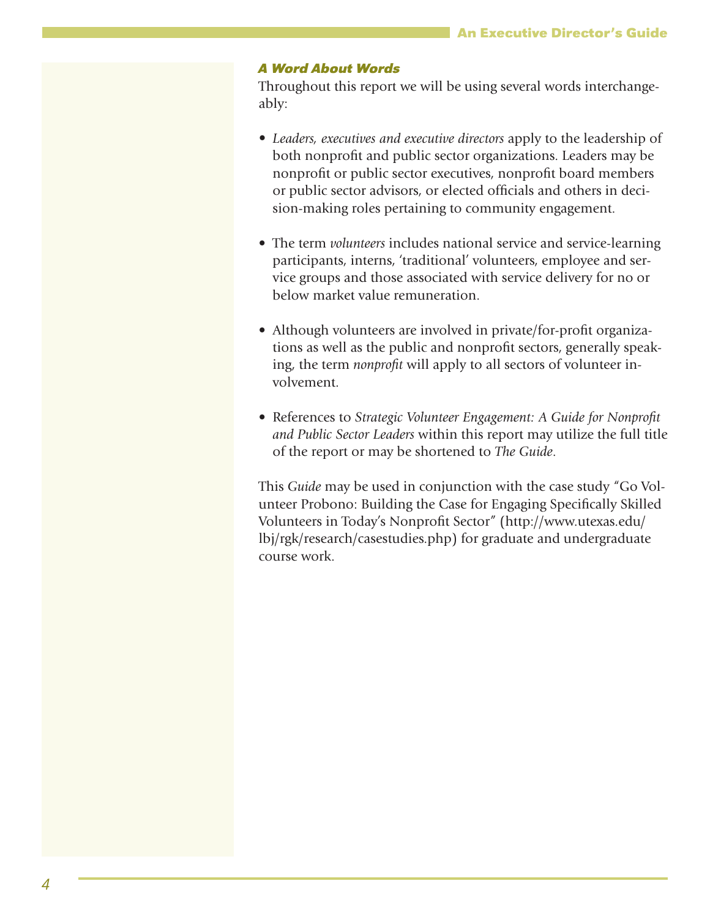#### **A Word About Words**

Throughout this report we will be using several words interchangeably:

- *• Leaders, executives and executive directors* apply to the leadership of both nonprofit and public sector organizations. Leaders may be nonprofit or public sector executives, nonprofit board members or public sector advisors, or elected officials and others in decision-making roles pertaining to community engagement.
- The term *volunteers* includes national service and service-learning participants, interns, 'traditional' volunteers, employee and service groups and those associated with service delivery for no or below market value remuneration.
- Although volunteers are involved in private/for-profit organizations as well as the public and nonprofit sectors, generally speaking, the term *nonprofit* will apply to all sectors of volunteer involvement.
- References to *Strategic Volunteer Engagement: A Guide for Nonprofit and Public Sector Leaders* within this report may utilize the full title of the report or may be shortened to *The Guide*.

This *Guide* may be used in conjunction with the case study "Go Volunteer Probono: Building the Case for Engaging Specifically Skilled Volunteers in Today's Nonprofit Sector" (http://www.utexas.edu/ lbj/rgk/research/casestudies.php) for graduate and undergraduate course work.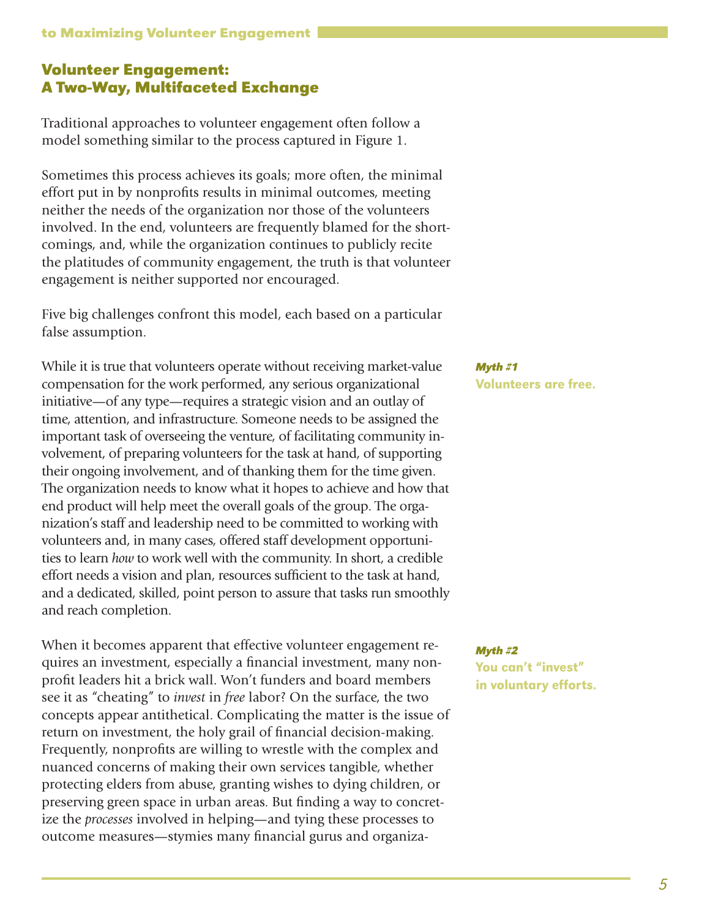#### **Volunteer Engagement: A Two-Way, Multifaceted Exchange**

Traditional approaches to volunteer engagement often follow a model something similar to the process captured in Figure 1.

Sometimes this process achieves its goals; more often, the minimal effort put in by nonprofits results in minimal outcomes, meeting neither the needs of the organization nor those of the volunteers involved. In the end, volunteers are frequently blamed for the shortcomings, and, while the organization continues to publicly recite the platitudes of community engagement, the truth is that volunteer engagement is neither supported nor encouraged.

Five big challenges confront this model, each based on a particular false assumption.

While it is true that volunteers operate without receiving market-value compensation for the work performed, any serious organizational initiative—of any type—requires a strategic vision and an outlay of time, attention, and infrastructure. Someone needs to be assigned the important task of overseeing the venture, of facilitating community involvement, of preparing volunteers for the task at hand, of supporting their ongoing involvement, and of thanking them for the time given. The organization needs to know what it hopes to achieve and how that end product will help meet the overall goals of the group. The organization's staff and leadership need to be committed to working with volunteers and, in many cases, offered staff development opportunities to learn *how* to work well with the community. In short, a credible effort needs a vision and plan, resources sufficient to the task at hand, and a dedicated, skilled, point person to assure that tasks run smoothly and reach completion.

When it becomes apparent that effective volunteer engagement requires an investment, especially a financial investment, many nonprofit leaders hit a brick wall. Won't funders and board members see it as "cheating" to *invest* in *free* labor? On the surface, the two concepts appear antithetical. Complicating the matter is the issue of return on investment, the holy grail of financial decision-making. Frequently, nonprofits are willing to wrestle with the complex and nuanced concerns of making their own services tangible, whether protecting elders from abuse, granting wishes to dying children, or preserving green space in urban areas. But finding a way to concretize the *processes* involved in helping—and tying these processes to outcome measures—stymies many financial gurus and organiza**Myth #1** Volunteers are free.

#### **Myth #2**

You can't "invest" in voluntary efforts.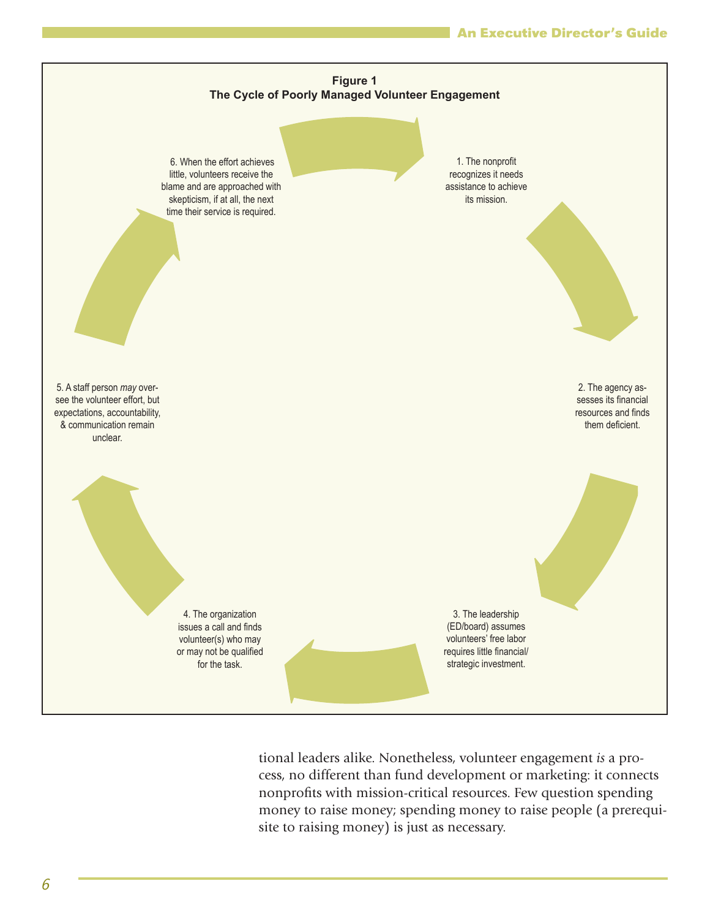#### **An Executive Director's Guide**



tional leaders alike. Nonetheless, volunteer engagement *is* a process, no different than fund development or marketing: it connects nonprofits with mission-critical resources. Few question spending money to raise money; spending money to raise people (a prerequisite to raising money) is just as necessary.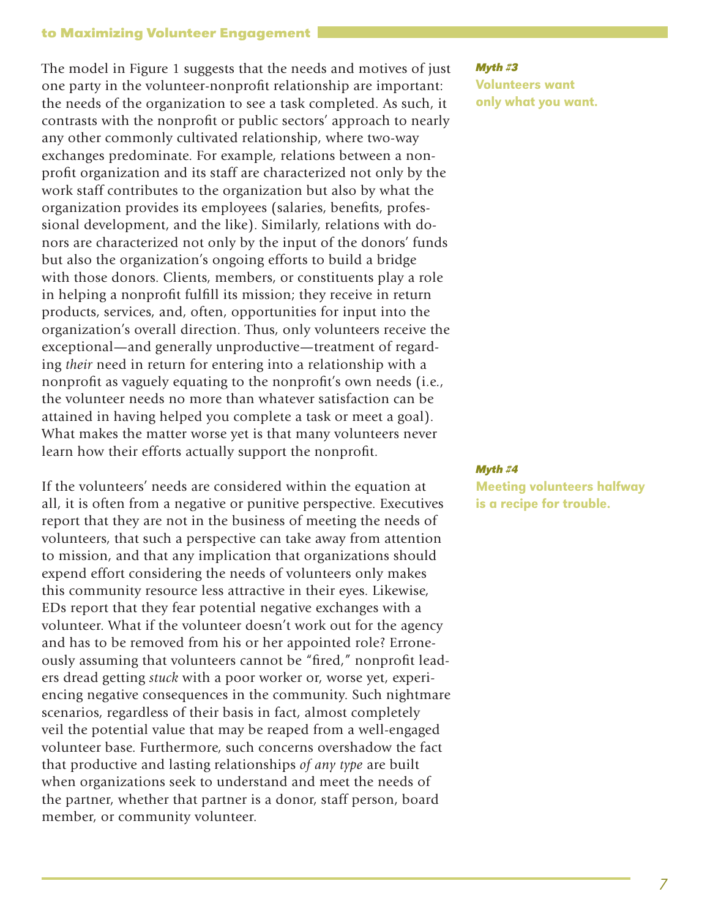#### **to Maximizing Volunteer Engagement**

The model in Figure 1 suggests that the needs and motives of just one party in the volunteer-nonprofit relationship are important: the needs of the organization to see a task completed. As such, it contrasts with the nonprofit or public sectors' approach to nearly any other commonly cultivated relationship, where two-way exchanges predominate. For example, relations between a nonprofit organization and its staff are characterized not only by the work staff contributes to the organization but also by what the organization provides its employees (salaries, benefits, professional development, and the like). Similarly, relations with donors are characterized not only by the input of the donors' funds but also the organization's ongoing efforts to build a bridge with those donors. Clients, members, or constituents play a role in helping a nonprofit fulfill its mission; they receive in return products, services, and, often, opportunities for input into the organization's overall direction. Thus, only volunteers receive the exceptional—and generally unproductive—treatment of regarding *their* need in return for entering into a relationship with a nonprofit as vaguely equating to the nonprofit's own needs (i.e., the volunteer needs no more than whatever satisfaction can be attained in having helped you complete a task or meet a goal). What makes the matter worse yet is that many volunteers never learn how their efforts actually support the nonprofit.

If the volunteers' needs are considered within the equation at all, it is often from a negative or punitive perspective. Executives report that they are not in the business of meeting the needs of volunteers, that such a perspective can take away from attention to mission, and that any implication that organizations should expend effort considering the needs of volunteers only makes this community resource less attractive in their eyes. Likewise, EDs report that they fear potential negative exchanges with a volunteer. What if the volunteer doesn't work out for the agency and has to be removed from his or her appointed role? Erroneously assuming that volunteers cannot be "fired," nonprofit leaders dread getting *stuck* with a poor worker or, worse yet, experiencing negative consequences in the community. Such nightmare scenarios, regardless of their basis in fact, almost completely veil the potential value that may be reaped from a well-engaged volunteer base. Furthermore, such concerns overshadow the fact that productive and lasting relationships *of any type* are built when organizations seek to understand and meet the needs of the partner, whether that partner is a donor, staff person, board member, or community volunteer.

**Myth #3** Volunteers want only what you want.

#### **Myth #4**

Meeting volunteers halfway is a recipe for trouble.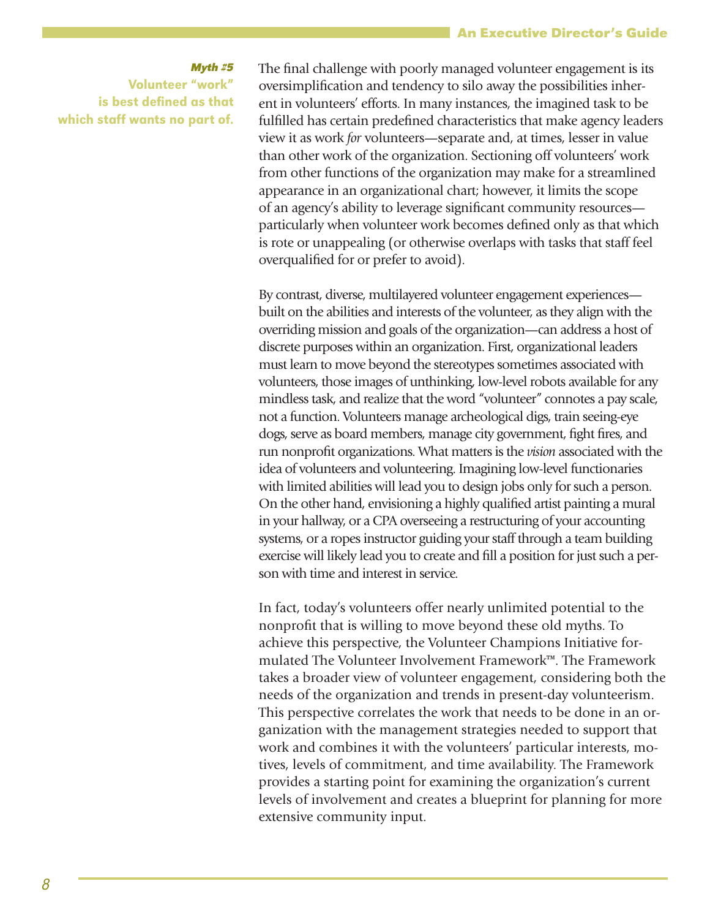**Myth #5** Volunteer "work" is best defined as that which staff wants no part of. The final challenge with poorly managed volunteer engagement is its oversimplification and tendency to silo away the possibilities inherent in volunteers' efforts. In many instances, the imagined task to be fulfilled has certain predefined characteristics that make agency leaders view it as work *for* volunteers—separate and, at times, lesser in value than other work of the organization. Sectioning off volunteers' work from other functions of the organization may make for a streamlined appearance in an organizational chart; however, it limits the scope of an agency's ability to leverage significant community resources particularly when volunteer work becomes defined only as that which is rote or unappealing (or otherwise overlaps with tasks that staff feel overqualified for or prefer to avoid).

By contrast, diverse, multilayered volunteer engagement experiences built on the abilities and interests of the volunteer, as they align with the overriding mission and goals of the organization—can address a host of discrete purposes within an organization. First, organizational leaders must learn to move beyond the stereotypes sometimes associated with volunteers, those images of unthinking, low-level robots available for any mindless task, and realize that the word "volunteer" connotes a pay scale, not a function. Volunteers manage archeological digs, train seeing-eye dogs, serve as board members, manage city government, fight fires, and run nonprofit organizations. What matters is the *vision* associated with the idea of volunteers and volunteering. Imagining low-level functionaries with limited abilities will lead you to design jobs only for such a person. On the other hand, envisioning a highly qualified artist painting a mural in your hallway, or a CPA overseeing a restructuring of your accounting systems, or a ropes instructor guiding your staff through a team building exercise will likely lead you to create and fill a position for just such a person with time and interest in service.

In fact, today's volunteers offer nearly unlimited potential to the nonprofit that is willing to move beyond these old myths. To achieve this perspective, the Volunteer Champions Initiative formulated The Volunteer Involvement Framework™. The Framework takes a broader view of volunteer engagement, considering both the needs of the organization and trends in present-day volunteerism. This perspective correlates the work that needs to be done in an organization with the management strategies needed to support that work and combines it with the volunteers' particular interests, motives, levels of commitment, and time availability. The Framework provides a starting point for examining the organization's current levels of involvement and creates a blueprint for planning for more extensive community input.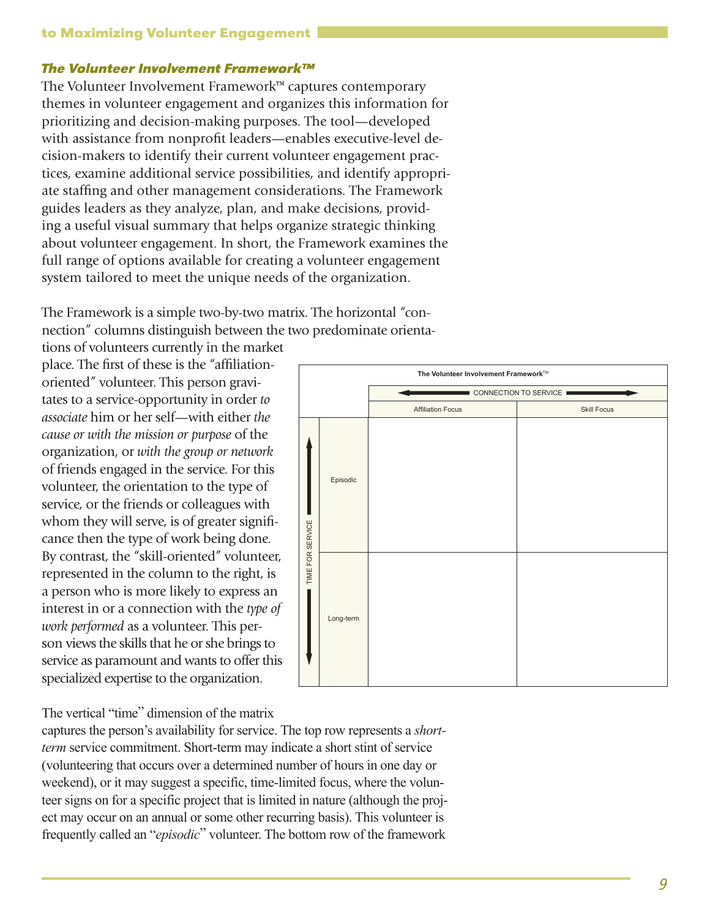#### **The Volunteer Involvement Framework™**

The Volunteer Involvement Framework™ captures contemporary themes in volunteer engagement and organizes this information for prioritizing and decision-making purposes. The tool—developed with assistance from nonprofit leaders—enables executive-level decision-makers to identify their current volunteer engagement practices, examine additional service possibilities, and identify appropriate staffing and other management considerations. The Framework guides leaders as they analyze, plan, and make decisions, providing a useful visual summary that helps organize strategic thinking about volunteer engagement. In short, the Framework examines the full range of options available for creating a volunteer engagement system tailored to meet the unique needs of the organization.

The Framework is a simple two-by-two matrix. The horizontal "connection" columns distinguish between the two predominate orienta-

tions of volunteers currently in the market place. The first of these is the "affiliationoriented" volunteer. This person gravitates to a service-opportunity in order *to associate* him or her self—with either *the cause or with the mission or purpose* of the organization, or *with the group or network* of friends engaged in the service. For this volunteer, the orientation to the type of service, or the friends or colleagues with whom they will serve, is of greater significance then the type of work being done. By contrast, the "skill-oriented" volunteer, represented in the column to the right, is a person who is more likely to express an interest in or a connection with the *type of work performed* as a volunteer. This person views the skills that he or she brings to service as paramount and wants to offer this specialized expertise to the organization.

The vertical "time" dimension of the matrix

captures the person's availability for service. The top row represents a *shortterm* service commitment. Short-term may indicate a short stint of service (volunteering that occurs over a determined number of hours in one day or weekend), or it may suggest a specific, time-limited focus, where the volunteer signs on for a specific project that is limited in nature (although the project may occur on an annual or some other recurring basis). This volunteer is frequently called an "*episodic*" volunteer. The bottom row of the framework

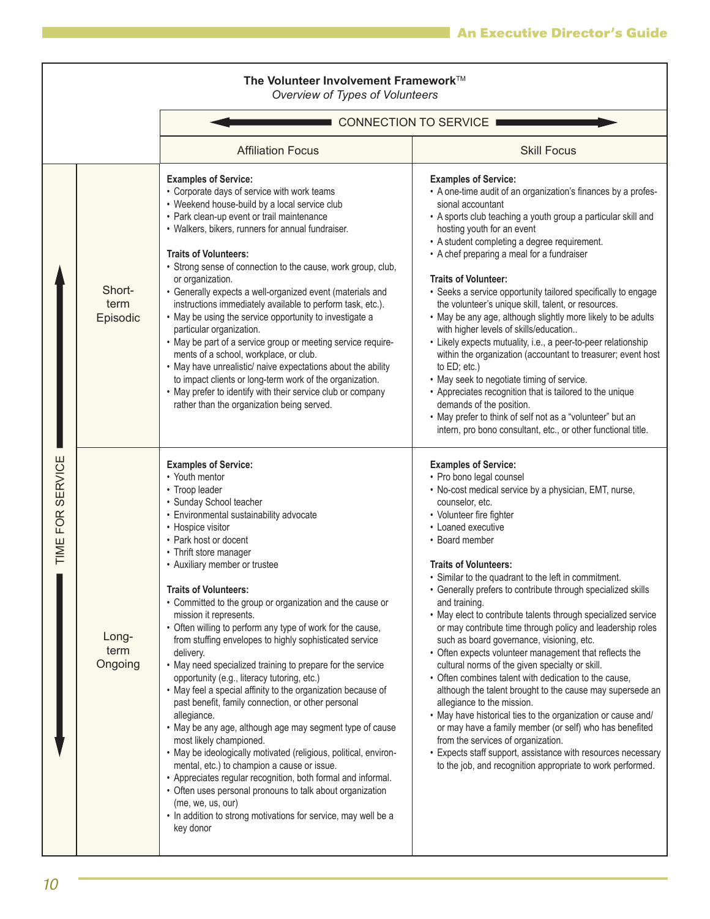| The Volunteer Involvement Framework™ |
|--------------------------------------|
| Overview of Types of Volunteers      |

|                                      |                            | <b>CONNECTION TO SERVICE I</b>                                                                                                                                                                                                                                                                                                                                                                                                                                                                                                                                                                                                                                                                                                                                                                                                                                                                                                                                                                                                                                                                                                                                                                           |                                                                                                                                                                                                                                                                                                                                                                                                                                                                                                                                                                                                                                                                                                                                                                                                                                                                                                                                                                                                                                                                                                                              |
|--------------------------------------|----------------------------|----------------------------------------------------------------------------------------------------------------------------------------------------------------------------------------------------------------------------------------------------------------------------------------------------------------------------------------------------------------------------------------------------------------------------------------------------------------------------------------------------------------------------------------------------------------------------------------------------------------------------------------------------------------------------------------------------------------------------------------------------------------------------------------------------------------------------------------------------------------------------------------------------------------------------------------------------------------------------------------------------------------------------------------------------------------------------------------------------------------------------------------------------------------------------------------------------------|------------------------------------------------------------------------------------------------------------------------------------------------------------------------------------------------------------------------------------------------------------------------------------------------------------------------------------------------------------------------------------------------------------------------------------------------------------------------------------------------------------------------------------------------------------------------------------------------------------------------------------------------------------------------------------------------------------------------------------------------------------------------------------------------------------------------------------------------------------------------------------------------------------------------------------------------------------------------------------------------------------------------------------------------------------------------------------------------------------------------------|
|                                      |                            | <b>Affiliation Focus</b>                                                                                                                                                                                                                                                                                                                                                                                                                                                                                                                                                                                                                                                                                                                                                                                                                                                                                                                                                                                                                                                                                                                                                                                 | <b>Skill Focus</b>                                                                                                                                                                                                                                                                                                                                                                                                                                                                                                                                                                                                                                                                                                                                                                                                                                                                                                                                                                                                                                                                                                           |
| <b>SERVICE</b><br><b>FOR</b><br>TIME | Short-<br>term<br>Episodic | <b>Examples of Service:</b><br>• Corporate days of service with work teams<br>• Weekend house-build by a local service club<br>• Park clean-up event or trail maintenance<br>• Walkers, bikers, runners for annual fundraiser.<br><b>Traits of Volunteers:</b><br>• Strong sense of connection to the cause, work group, club,<br>or organization.<br>• Generally expects a well-organized event (materials and<br>instructions immediately available to perform task, etc.).<br>• May be using the service opportunity to investigate a<br>particular organization.<br>• May be part of a service group or meeting service require-<br>ments of a school, workplace, or club.<br>• May have unrealistic/ naive expectations about the ability<br>to impact clients or long-term work of the organization.<br>• May prefer to identify with their service club or company<br>rather than the organization being served.                                                                                                                                                                                                                                                                                  | <b>Examples of Service:</b><br>• A one-time audit of an organization's finances by a profes-<br>sional accountant<br>• A sports club teaching a youth group a particular skill and<br>hosting youth for an event<br>• A student completing a degree requirement.<br>• A chef preparing a meal for a fundraiser<br><b>Traits of Volunteer:</b><br>• Seeks a service opportunity tailored specifically to engage<br>the volunteer's unique skill, talent, or resources.<br>• May be any age, although slightly more likely to be adults<br>with higher levels of skills/education<br>• Likely expects mutuality, i.e., a peer-to-peer relationship<br>within the organization (accountant to treasurer; event host<br>to ED; etc.)<br>• May seek to negotiate timing of service.<br>• Appreciates recognition that is tailored to the unique<br>demands of the position.<br>• May prefer to think of self not as a "volunteer" but an<br>intern, pro bono consultant, etc., or other functional title.                                                                                                                         |
|                                      | Long-<br>term<br>Ongoing   | <b>Examples of Service:</b><br>• Youth mentor<br>• Troop leader<br>· Sunday School teacher<br>• Environmental sustainability advocate<br>• Hospice visitor<br>• Park host or docent<br>• Thrift store manager<br>• Auxiliary member or trustee<br><b>Traits of Volunteers:</b><br>• Committed to the group or organization and the cause or<br>mission it represents.<br>• Often willing to perform any type of work for the cause,<br>from stuffing envelopes to highly sophisticated service<br>delivery.<br>• May need specialized training to prepare for the service<br>opportunity (e.g., literacy tutoring, etc.)<br>• May feel a special affinity to the organization because of<br>past benefit, family connection, or other personal<br>allegiance.<br>• May be any age, although age may segment type of cause<br>most likely championed.<br>• May be ideologically motivated (religious, political, environ-<br>mental, etc.) to champion a cause or issue.<br>• Appreciates regular recognition, both formal and informal.<br>• Often uses personal pronouns to talk about organization<br>(me, we, us, our)<br>• In addition to strong motivations for service, may well be a<br>key donor | <b>Examples of Service:</b><br>• Pro bono legal counsel<br>• No-cost medical service by a physician, EMT, nurse,<br>counselor, etc.<br>• Volunteer fire fighter<br>• Loaned executive<br>• Board member<br><b>Traits of Volunteers:</b><br>• Similar to the quadrant to the left in commitment.<br>• Generally prefers to contribute through specialized skills<br>and training.<br>• May elect to contribute talents through specialized service<br>or may contribute time through policy and leadership roles<br>such as board governance, visioning, etc.<br>• Often expects volunteer management that reflects the<br>cultural norms of the given specialty or skill.<br>• Often combines talent with dedication to the cause,<br>although the talent brought to the cause may supersede an<br>allegiance to the mission.<br>• May have historical ties to the organization or cause and/<br>or may have a family member (or self) who has benefited<br>from the services of organization.<br>• Expects staff support, assistance with resources necessary<br>to the job, and recognition appropriate to work performed. |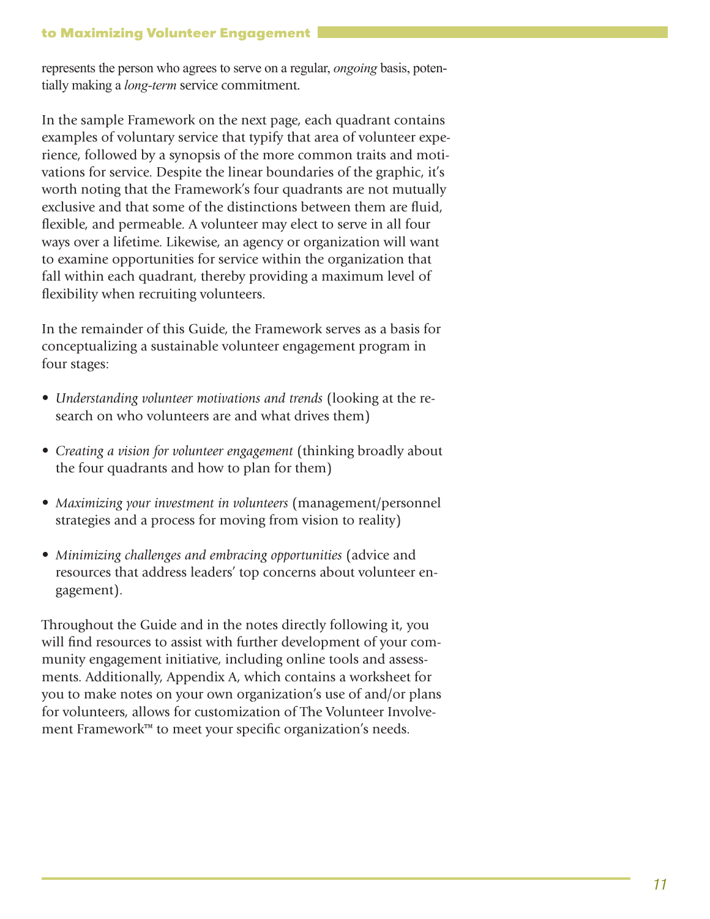represents the person who agrees to serve on a regular, *ongoing* basis, potentially making a *long-term* service commitment.

In the sample Framework on the next page, each quadrant contains examples of voluntary service that typify that area of volunteer experience, followed by a synopsis of the more common traits and motivations for service. Despite the linear boundaries of the graphic, it's worth noting that the Framework's four quadrants are not mutually exclusive and that some of the distinctions between them are fluid, flexible, and permeable. A volunteer may elect to serve in all four ways over a lifetime. Likewise, an agency or organization will want to examine opportunities for service within the organization that fall within each quadrant, thereby providing a maximum level of flexibility when recruiting volunteers.

In the remainder of this Guide, the Framework serves as a basis for conceptualizing a sustainable volunteer engagement program in four stages:

- *• Understanding volunteer motivations and trends* (looking at the research on who volunteers are and what drives them)
- *• Creating a vision for volunteer engagement* (thinking broadly about the four quadrants and how to plan for them)
- *• Maximizing your investment in volunteers* (management/personnel strategies and a process for moving from vision to reality)
- *• Minimizing challenges and embracing opportunities* (advice and resources that address leaders' top concerns about volunteer engagement).

Throughout the Guide and in the notes directly following it, you will find resources to assist with further development of your community engagement initiative, including online tools and assessments. Additionally, Appendix A, which contains a worksheet for you to make notes on your own organization's use of and/or plans for volunteers, allows for customization of The Volunteer Involvement Framework™ to meet your specific organization's needs.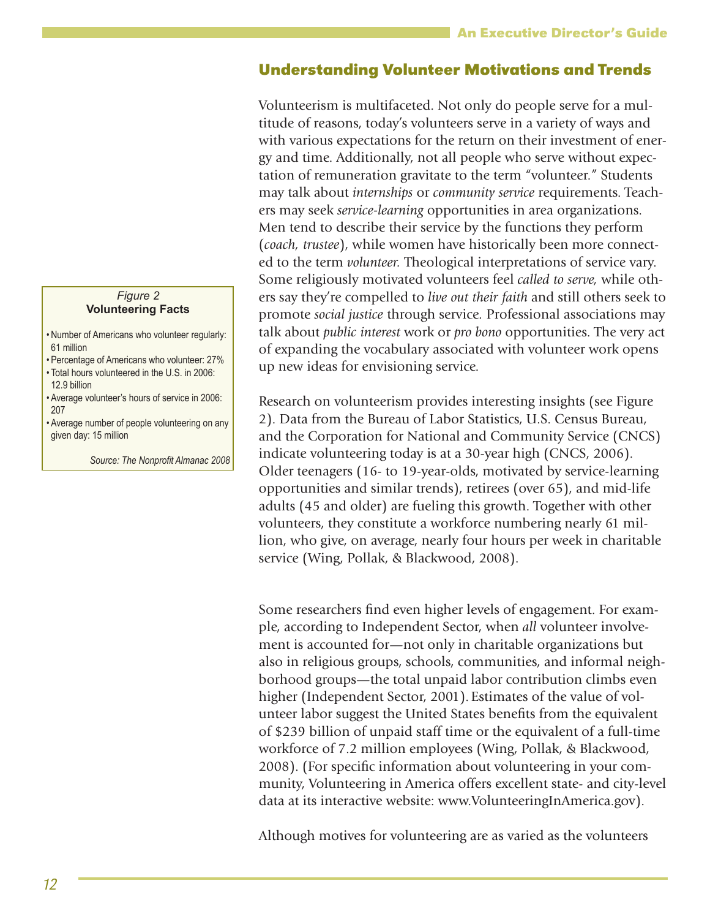#### **Understanding Volunteer Motivations and Trends**

Volunteerism is multifaceted. Not only do people serve for a multitude of reasons, today's volunteers serve in a variety of ways and with various expectations for the return on their investment of energy and time. Additionally, not all people who serve without expectation of remuneration gravitate to the term "volunteer." Students may talk about *internships* or *community service* requirements. Teachers may seek *service-learning* opportunities in area organizations. Men tend to describe their service by the functions they perform (*coach, trustee*), while women have historically been more connected to the term *volunteer.* Theological interpretations of service vary. Some religiously motivated volunteers feel *called to serve,* while others say they're compelled to *live out their faith* and still others seek to promote *social justice* through service*.* Professional associations may talk about *public interest* work or *pro bono* opportunities. The very act of expanding the vocabulary associated with volunteer work opens up new ideas for envisioning service.

Research on volunteerism provides interesting insights (see Figure 2). Data from the Bureau of Labor Statistics, U.S. Census Bureau, and the Corporation for National and Community Service (CNCS) indicate volunteering today is at a 30-year high (CNCS, 2006). Older teenagers (16- to 19-year-olds, motivated by service-learning opportunities and similar trends), retirees (over 65), and mid-life adults (45 and older) are fueling this growth. Together with other volunteers, they constitute a workforce numbering nearly 61 million, who give, on average, nearly four hours per week in charitable service (Wing, Pollak, & Blackwood, 2008).

Some researchers find even higher levels of engagement. For example, according to Independent Sector, when *all* volunteer involvement is accounted for—not only in charitable organizations but also in religious groups, schools, communities, and informal neighborhood groups—the total unpaid labor contribution climbs even higher (Independent Sector, 2001). Estimates of the value of volunteer labor suggest the United States benefits from the equivalent of \$239 billion of unpaid staff time or the equivalent of a full-time workforce of 7.2 million employees (Wing, Pollak, & Blackwood, 2008). (For specific information about volunteering in your community, Volunteering in America offers excellent state- and city-level data at its interactive website: www.VolunteeringInAmerica.gov).

Although motives for volunteering are as varied as the volunteers

#### *Figure 2*  **Volunteering Facts**

- • Number of Americans who volunteer regularly: 61 million
- • Percentage of Americans who volunteer: 27% • Total hours volunteered in the U.S. in 2006:
- 12.9 billion • Average volunteer's hours of service in 2006:
- 207 • Average number of people volunteering on any given day: 15 million
	- *Source: The Nonprofit Almanac 2008*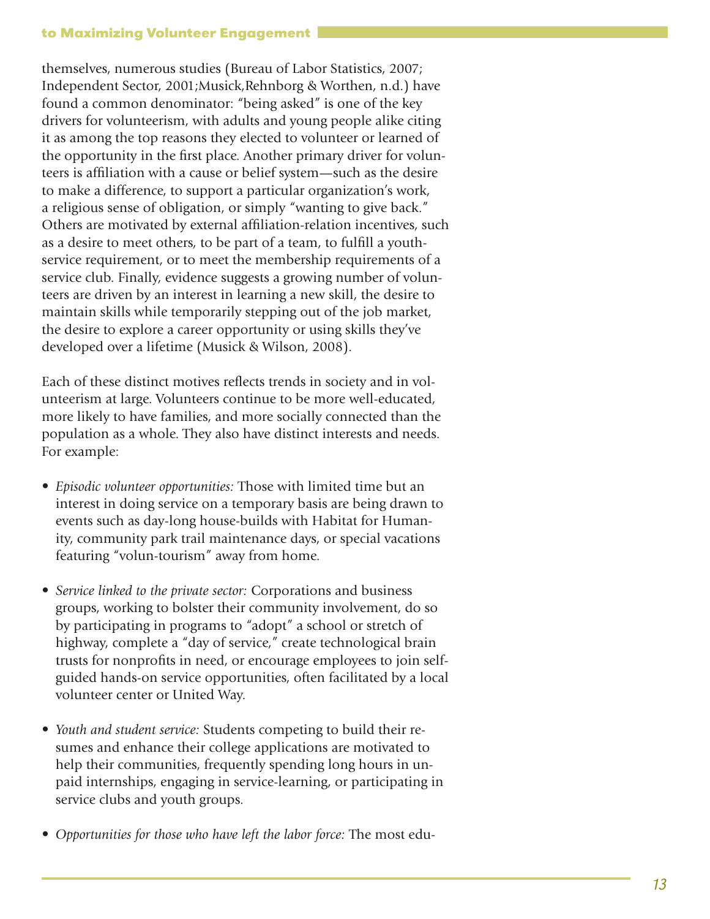themselves, numerous studies (Bureau of Labor Statistics, 2007; Independent Sector, 2001;Musick,Rehnborg & Worthen, n.d.) have found a common denominator: "being asked" is one of the key drivers for volunteerism, with adults and young people alike citing it as among the top reasons they elected to volunteer or learned of the opportunity in the first place. Another primary driver for volunteers is affiliation with a cause or belief system—such as the desire to make a difference, to support a particular organization's work, a religious sense of obligation, or simply "wanting to give back." Others are motivated by external affiliation-relation incentives, such as a desire to meet others, to be part of a team, to fulfill a youthservice requirement, or to meet the membership requirements of a service club. Finally, evidence suggests a growing number of volunteers are driven by an interest in learning a new skill, the desire to maintain skills while temporarily stepping out of the job market, the desire to explore a career opportunity or using skills they've developed over a lifetime (Musick & Wilson, 2008).

Each of these distinct motives reflects trends in society and in volunteerism at large. Volunteers continue to be more well-educated, more likely to have families, and more socially connected than the population as a whole. They also have distinct interests and needs. For example:

- *• Episodic volunteer opportunities:* Those with limited time but an interest in doing service on a temporary basis are being drawn to events such as day-long house-builds with Habitat for Humanity, community park trail maintenance days, or special vacations featuring "volun-tourism" away from home.
- *• Service linked to the private sector:* Corporations and business groups, working to bolster their community involvement, do so by participating in programs to "adopt" a school or stretch of highway, complete a "day of service," create technological brain trusts for nonprofits in need, or encourage employees to join selfguided hands-on service opportunities, often facilitated by a local volunteer center or United Way.
- *• Youth and student service:* Students competing to build their resumes and enhance their college applications are motivated to help their communities, frequently spending long hours in unpaid internships, engaging in service-learning, or participating in service clubs and youth groups.
- *• Opportunities for those who have left the labor force:* The most edu-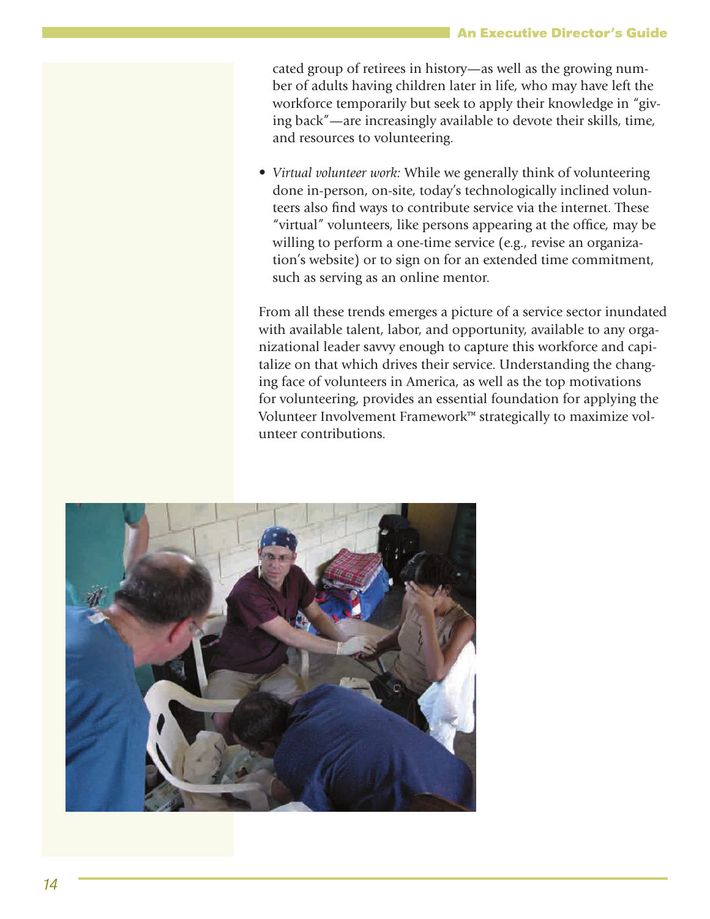cated group of retirees in history—as well as the growing number of adults having children later in life, who may have left the workforce temporarily but seek to apply their knowledge in "giving back"—are increasingly available to devote their skills, time, and resources to volunteering.

*• Virtual volunteer work:* While we generally think of volunteering done in-person, on-site, today's technologically inclined volunteers also find ways to contribute service via the internet. These "virtual" volunteers, like persons appearing at the office, may be willing to perform a one-time service (e.g., revise an organization's website) or to sign on for an extended time commitment, such as serving as an online mentor.

From all these trends emerges a picture of a service sector inundated with available talent, labor, and opportunity, available to any organizational leader savvy enough to capture this workforce and capitalize on that which drives their service. Understanding the changing face of volunteers in America, as well as the top motivations for volunteering, provides an essential foundation for applying the Volunteer Involvement Framework™ strategically to maximize volunteer contributions.

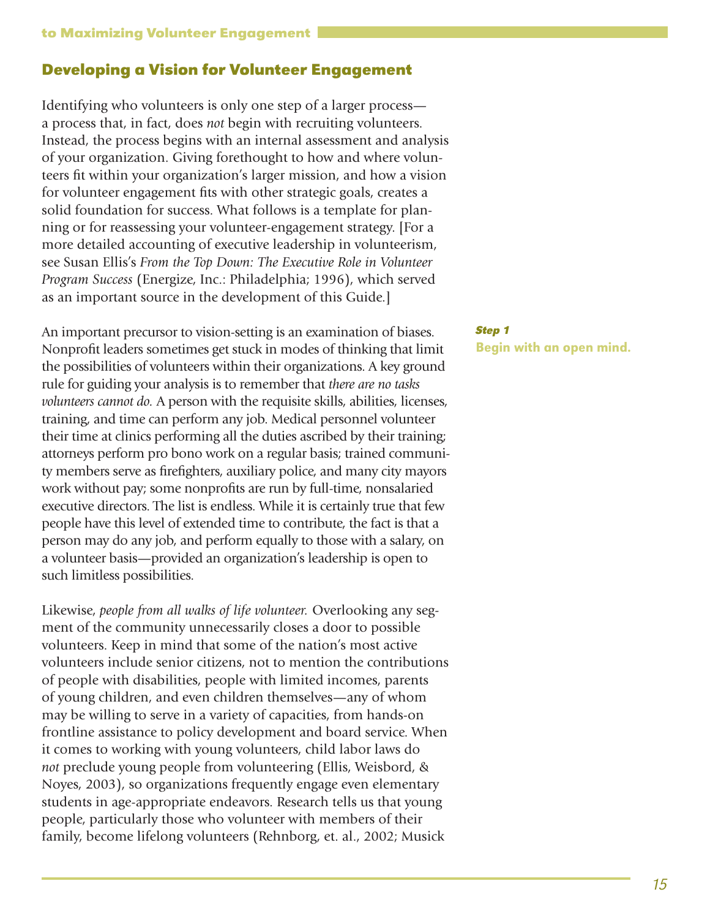#### **Developing a Vision for Volunteer Engagement**

Identifying who volunteers is only one step of a larger process a process that, in fact, does *not* begin with recruiting volunteers. Instead, the process begins with an internal assessment and analysis of your organization. Giving forethought to how and where volunteers fit within your organization's larger mission, and how a vision for volunteer engagement fits with other strategic goals, creates a solid foundation for success. What follows is a template for planning or for reassessing your volunteer-engagement strategy. [For a more detailed accounting of executive leadership in volunteerism, see Susan Ellis's *From the Top Down: The Executive Role in Volunteer Program Success* (Energize, Inc.: Philadelphia; 1996), which served as an important source in the development of this Guide.]

An important precursor to vision-setting is an examination of biases. Nonprofit leaders sometimes get stuck in modes of thinking that limit the possibilities of volunteers within their organizations. A key ground rule for guiding your analysis is to remember that *there are no tasks volunteers cannot do.* A person with the requisite skills, abilities, licenses, training, and time can perform any job. Medical personnel volunteer their time at clinics performing all the duties ascribed by their training; attorneys perform pro bono work on a regular basis; trained community members serve as firefighters, auxiliary police, and many city mayors work without pay; some nonprofits are run by full-time, nonsalaried executive directors. The list is endless. While it is certainly true that few people have this level of extended time to contribute, the fact is that a person may do any job, and perform equally to those with a salary, on a volunteer basis—provided an organization's leadership is open to such limitless possibilities.

Likewise, *people from all walks of life volunteer.* Overlooking any segment of the community unnecessarily closes a door to possible volunteers. Keep in mind that some of the nation's most active volunteers include senior citizens, not to mention the contributions of people with disabilities, people with limited incomes, parents of young children, and even children themselves—any of whom may be willing to serve in a variety of capacities, from hands-on frontline assistance to policy development and board service. When it comes to working with young volunteers, child labor laws do *not* preclude young people from volunteering (Ellis, Weisbord, & Noyes, 2003), so organizations frequently engage even elementary students in age-appropriate endeavors. Research tells us that young people, particularly those who volunteer with members of their family, become lifelong volunteers (Rehnborg, et. al., 2002; Musick

#### **Step 1** Begin with an open mind.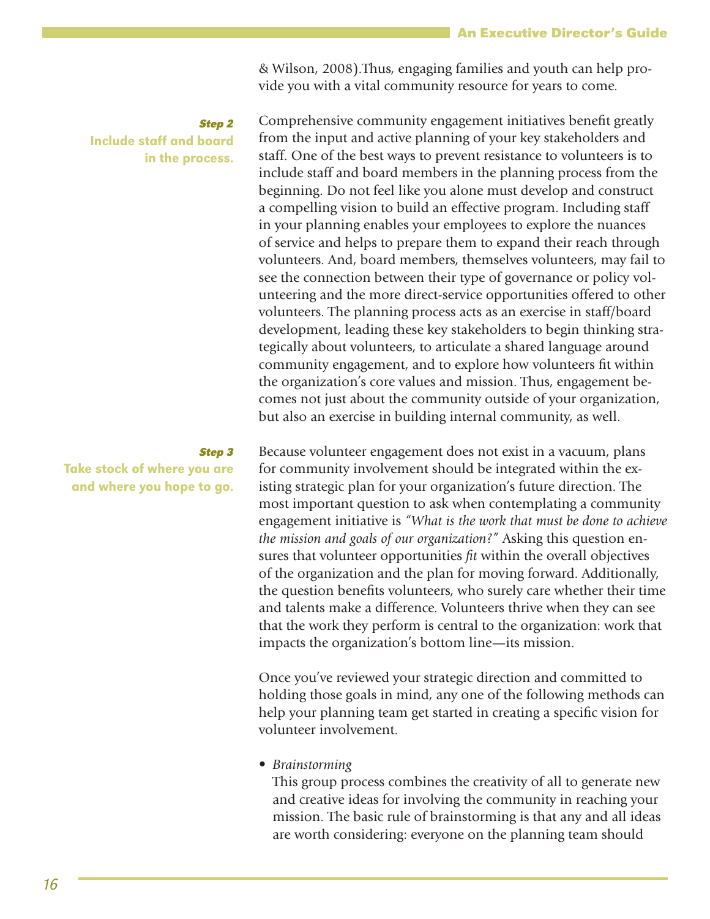& Wilson, 2008).Thus, engaging families and youth can help provide you with a vital community resource for years to come.

**Step 2** Include staff and board in the process.

#### **Step 3**

Take stock of where you are and where you hope to go. Comprehensive community engagement initiatives benefit greatly from the input and active planning of your key stakeholders and staff. One of the best ways to prevent resistance to volunteers is to include staff and board members in the planning process from the beginning. Do not feel like you alone must develop and construct a compelling vision to build an effective program. Including staff in your planning enables your employees to explore the nuances of service and helps to prepare them to expand their reach through volunteers. And, board members, themselves volunteers, may fail to see the connection between their type of governance or policy volunteering and the more direct-service opportunities offered to other volunteers. The planning process acts as an exercise in staff/board development, leading these key stakeholders to begin thinking strategically about volunteers, to articulate a shared language around community engagement, and to explore how volunteers fit within the organization's core values and mission. Thus, engagement becomes not just about the community outside of your organization, but also an exercise in building internal community, as well.

Because volunteer engagement does not exist in a vacuum, plans for community involvement should be integrated within the existing strategic plan for your organization's future direction. The most important question to ask when contemplating a community engagement initiative is *"What is the work that must be done to achieve the mission and goals of our organization?"* Asking this question ensures that volunteer opportunities *fit* within the overall objectives of the organization and the plan for moving forward. Additionally, the question benefits volunteers, who surely care whether their time and talents make a difference. Volunteers thrive when they can see that the work they perform is central to the organization: work that impacts the organization's bottom line—its mission.

Once you've reviewed your strategic direction and committed to holding those goals in mind, any one of the following methods can help your planning team get started in creating a specific vision for volunteer involvement.

#### *• Brainstorming*

This group process combines the creativity of all to generate new and creative ideas for involving the community in reaching your mission. The basic rule of brainstorming is that any and all ideas are worth considering: everyone on the planning team should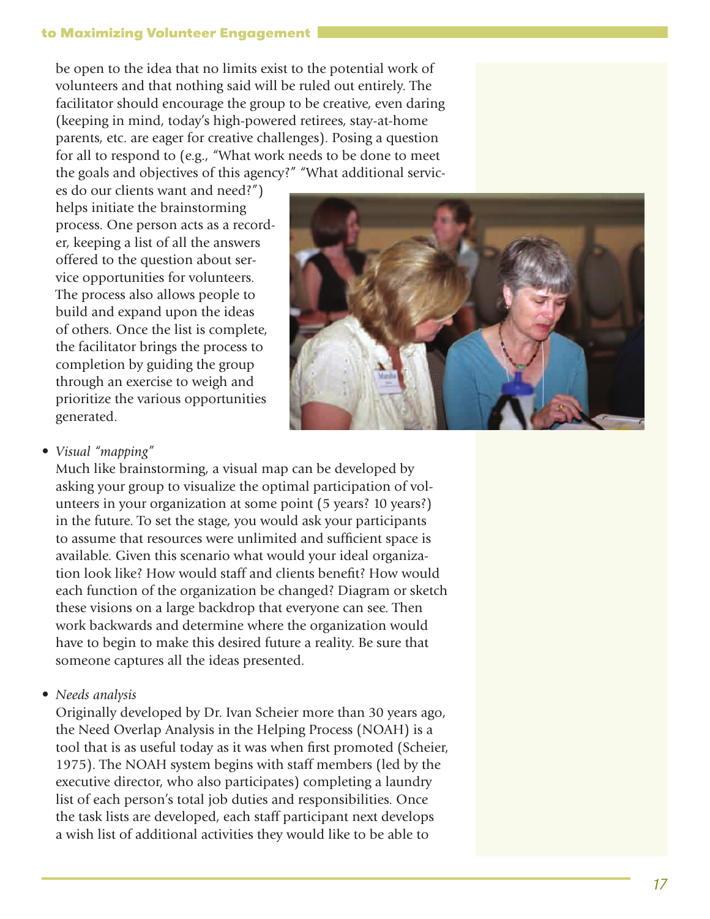#### **to Maximizing Volunteer Engagement**

be open to the idea that no limits exist to the potential work of volunteers and that nothing said will be ruled out entirely. The facilitator should encourage the group to be creative, even daring (keeping in mind, today's high-powered retirees, stay-at-home parents, etc. are eager for creative challenges). Posing a question for all to respond to (e.g., "What work needs to be done to meet the goals and objectives of this agency?" "What additional servic-

es do our clients want and need?") helps initiate the brainstorming process. One person acts as a recorder, keeping a list of all the answers offered to the question about service opportunities for volunteers. The process also allows people to build and expand upon the ideas of others. Once the list is complete, the facilitator brings the process to completion by guiding the group through an exercise to weigh and prioritize the various opportunities generated.



#### *• Visual "mapping"*

Much like brainstorming, a visual map can be developed by asking your group to visualize the optimal participation of volunteers in your organization at some point (5 years? 10 years?) in the future. To set the stage, you would ask your participants to assume that resources were unlimited and sufficient space is available. Given this scenario what would your ideal organization look like? How would staff and clients benefit? How would each function of the organization be changed? Diagram or sketch these visions on a large backdrop that everyone can see. Then work backwards and determine where the organization would have to begin to make this desired future a reality. Be sure that someone captures all the ideas presented.

*• Needs analysis*

Originally developed by Dr. Ivan Scheier more than 30 years ago, the Need Overlap Analysis in the Helping Process (NOAH) is a tool that is as useful today as it was when first promoted (Scheier, 1975). The NOAH system begins with staff members (led by the executive director, who also participates) completing a laundry list of each person's total job duties and responsibilities. Once the task lists are developed, each staff participant next develops a wish list of additional activities they would like to be able to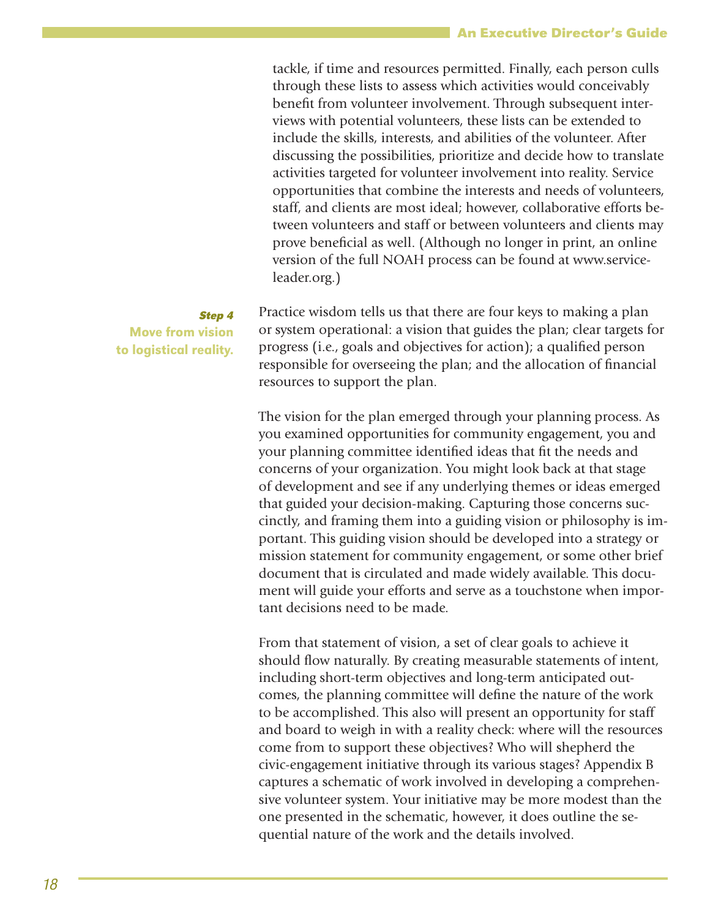tackle, if time and resources permitted. Finally, each person culls through these lists to assess which activities would conceivably benefit from volunteer involvement. Through subsequent interviews with potential volunteers, these lists can be extended to include the skills, interests, and abilities of the volunteer. After discussing the possibilities, prioritize and decide how to translate activities targeted for volunteer involvement into reality. Service opportunities that combine the interests and needs of volunteers, staff, and clients are most ideal; however, collaborative efforts between volunteers and staff or between volunteers and clients may prove beneficial as well. (Although no longer in print, an online version of the full NOAH process can be found at www.serviceleader.org.)

#### **Step 4**

Move from vision to logistical reality. Practice wisdom tells us that there are four keys to making a plan or system operational: a vision that guides the plan; clear targets for progress (i.e., goals and objectives for action); a qualified person responsible for overseeing the plan; and the allocation of financial resources to support the plan.

The vision for the plan emerged through your planning process. As you examined opportunities for community engagement, you and your planning committee identified ideas that fit the needs and concerns of your organization. You might look back at that stage of development and see if any underlying themes or ideas emerged that guided your decision-making. Capturing those concerns succinctly, and framing them into a guiding vision or philosophy is important. This guiding vision should be developed into a strategy or mission statement for community engagement, or some other brief document that is circulated and made widely available. This document will guide your efforts and serve as a touchstone when important decisions need to be made.

From that statement of vision, a set of clear goals to achieve it should flow naturally. By creating measurable statements of intent, including short-term objectives and long-term anticipated outcomes, the planning committee will define the nature of the work to be accomplished. This also will present an opportunity for staff and board to weigh in with a reality check: where will the resources come from to support these objectives? Who will shepherd the civic-engagement initiative through its various stages? Appendix B captures a schematic of work involved in developing a comprehensive volunteer system. Your initiative may be more modest than the one presented in the schematic, however, it does outline the sequential nature of the work and the details involved.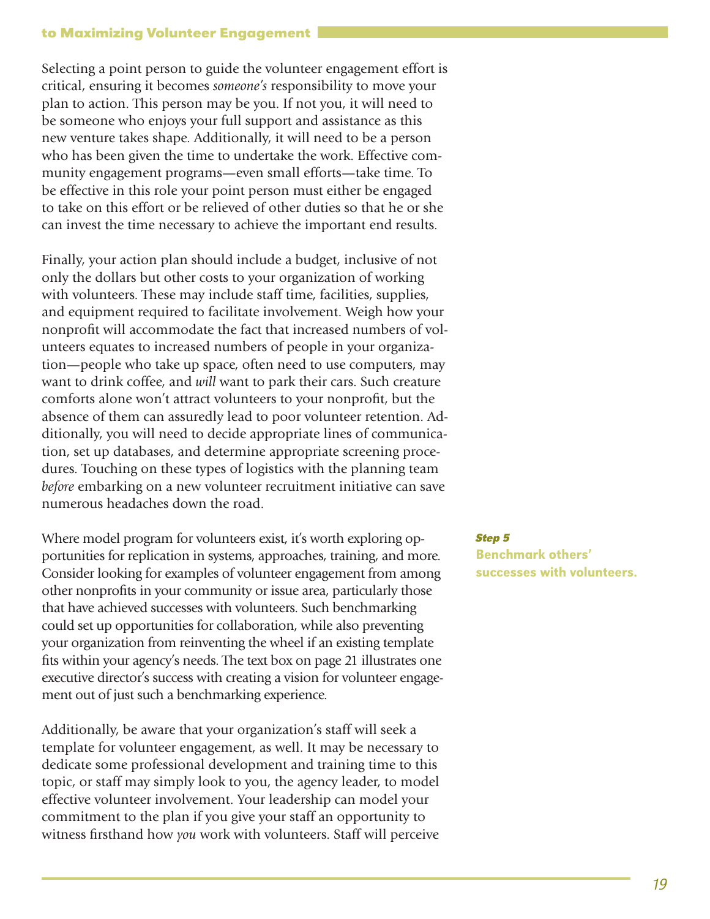#### **to Maximizing Volunteer Engagement**

Selecting a point person to guide the volunteer engagement effort is critical, ensuring it becomes *someone's* responsibility to move your plan to action. This person may be you. If not you, it will need to be someone who enjoys your full support and assistance as this new venture takes shape. Additionally, it will need to be a person who has been given the time to undertake the work. Effective community engagement programs—even small efforts—take time. To be effective in this role your point person must either be engaged to take on this effort or be relieved of other duties so that he or she can invest the time necessary to achieve the important end results.

Finally, your action plan should include a budget, inclusive of not only the dollars but other costs to your organization of working with volunteers. These may include staff time, facilities, supplies, and equipment required to facilitate involvement. Weigh how your nonprofit will accommodate the fact that increased numbers of volunteers equates to increased numbers of people in your organization—people who take up space, often need to use computers, may want to drink coffee, and *will* want to park their cars. Such creature comforts alone won't attract volunteers to your nonprofit, but the absence of them can assuredly lead to poor volunteer retention. Additionally, you will need to decide appropriate lines of communication, set up databases, and determine appropriate screening procedures. Touching on these types of logistics with the planning team *before* embarking on a new volunteer recruitment initiative can save numerous headaches down the road.

Where model program for volunteers exist, it's worth exploring opportunities for replication in systems, approaches, training, and more. Consider looking for examples of volunteer engagement from among other nonprofits in your community or issue area, particularly those that have achieved successes with volunteers. Such benchmarking could set up opportunities for collaboration, while also preventing your organization from reinventing the wheel if an existing template fits within your agency's needs. The text box on page 21 illustrates one executive director's success with creating a vision for volunteer engagement out of just such a benchmarking experience.

Additionally, be aware that your organization's staff will seek a template for volunteer engagement, as well. It may be necessary to dedicate some professional development and training time to this topic, or staff may simply look to you, the agency leader, to model effective volunteer involvement. Your leadership can model your commitment to the plan if you give your staff an opportunity to witness firsthand how *you* work with volunteers. Staff will perceive **Step 5**

Benchmark others' successes with volunteers.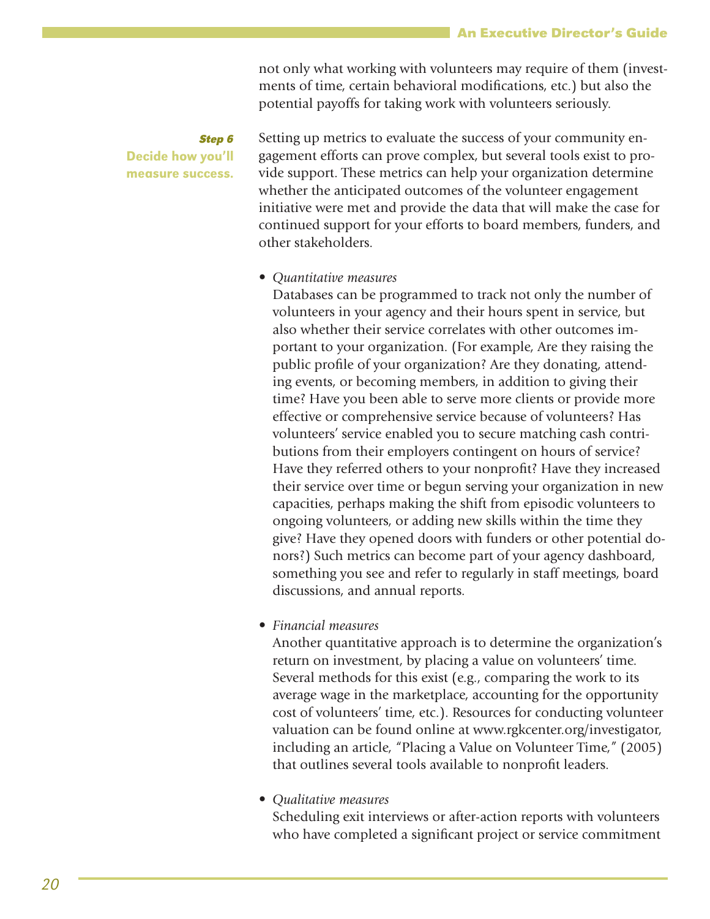not only what working with volunteers may require of them (investments of time, certain behavioral modifications, etc.) but also the potential payoffs for taking work with volunteers seriously.

#### **Step 6**

Decide how you'll measure success. Setting up metrics to evaluate the success of your community engagement efforts can prove complex, but several tools exist to provide support. These metrics can help your organization determine whether the anticipated outcomes of the volunteer engagement initiative were met and provide the data that will make the case for continued support for your efforts to board members, funders, and other stakeholders.

#### *• Quantitative measures*

Databases can be programmed to track not only the number of volunteers in your agency and their hours spent in service, but also whether their service correlates with other outcomes important to your organization. (For example, Are they raising the public profile of your organization? Are they donating, attending events, or becoming members, in addition to giving their time? Have you been able to serve more clients or provide more effective or comprehensive service because of volunteers? Has volunteers' service enabled you to secure matching cash contributions from their employers contingent on hours of service? Have they referred others to your nonprofit? Have they increased their service over time or begun serving your organization in new capacities, perhaps making the shift from episodic volunteers to ongoing volunteers, or adding new skills within the time they give? Have they opened doors with funders or other potential donors?) Such metrics can become part of your agency dashboard, something you see and refer to regularly in staff meetings, board discussions, and annual reports.

*• Financial measures*

Another quantitative approach is to determine the organization's return on investment, by placing a value on volunteers' time. Several methods for this exist (e.g., comparing the work to its average wage in the marketplace, accounting for the opportunity cost of volunteers' time, etc.). Resources for conducting volunteer valuation can be found online at www.rgkcenter.org/investigator, including an article, "Placing a Value on Volunteer Time," (2005) that outlines several tools available to nonprofit leaders.

*• Qualitative measures*

Scheduling exit interviews or after-action reports with volunteers who have completed a significant project or service commitment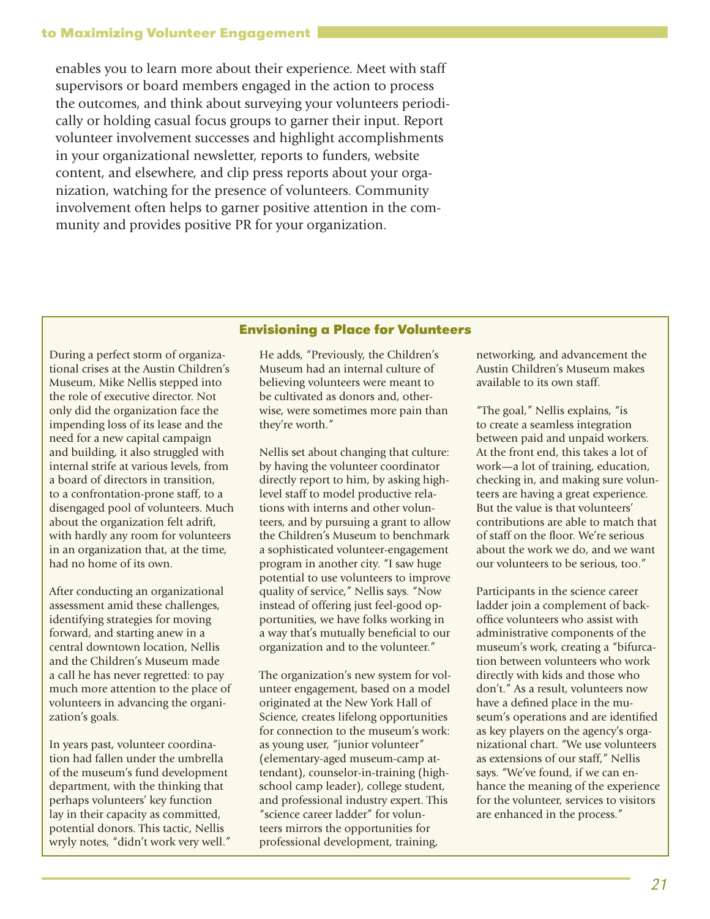#### **to Maximizing Volunteer Engagement**

enables you to learn more about their experience. Meet with staff supervisors or board members engaged in the action to process the outcomes, and think about surveying your volunteers periodically or holding casual focus groups to garner their input. Report volunteer involvement successes and highlight accomplishments in your organizational newsletter, reports to funders, website content, and elsewhere, and clip press reports about your organization, watching for the presence of volunteers. Community involvement often helps to garner positive attention in the community and provides positive PR for your organization.

#### **Envisioning a Place for Volunteers**

During a perfect storm of organizational crises at the Austin Children's Museum, Mike Nellis stepped into the role of executive director. Not only did the organization face the impending loss of its lease and the need for a new capital campaign and building, it also struggled with internal strife at various levels, from a board of directors in transition, to a confrontation-prone staff, to a disengaged pool of volunteers. Much about the organization felt adrift, with hardly any room for volunteers in an organization that, at the time, had no home of its own.

After conducting an organizational assessment amid these challenges, identifying strategies for moving forward, and starting anew in a central downtown location, Nellis and the Children's Museum made a call he has never regretted: to pay much more attention to the place of volunteers in advancing the organization's goals.

In years past, volunteer coordination had fallen under the umbrella of the museum's fund development department, with the thinking that perhaps volunteers' key function lay in their capacity as committed, potential donors. This tactic, Nellis wryly notes, "didn't work very well."

He adds, "Previously, the Children's Museum had an internal culture of believing volunteers were meant to be cultivated as donors and, otherwise, were sometimes more pain than they're worth."

Nellis set about changing that culture: by having the volunteer coordinator directly report to him, by asking highlevel staff to model productive relations with interns and other volunteers, and by pursuing a grant to allow the Children's Museum to benchmark a sophisticated volunteer-engagement program in another city. "I saw huge potential to use volunteers to improve quality of service," Nellis says. "Now instead of offering just feel-good opportunities, we have folks working in a way that's mutually beneficial to our organization and to the volunteer."

The organization's new system for volunteer engagement, based on a model originated at the New York Hall of Science, creates lifelong opportunities for connection to the museum's work: as young user, "junior volunteer" (elementary-aged museum-camp attendant), counselor-in-training (highschool camp leader), college student, and professional industry expert. This "science career ladder" for volunteers mirrors the opportunities for professional development, training,

networking, and advancement the Austin Children's Museum makes available to its own staff.

"The goal," Nellis explains, "is to create a seamless integration between paid and unpaid workers. At the front end, this takes a lot of work—a lot of training, education, checking in, and making sure volunteers are having a great experience. But the value is that volunteers' contributions are able to match that of staff on the floor. We're serious about the work we do, and we want our volunteers to be serious, too."

Participants in the science career ladder join a complement of backoffice volunteers who assist with administrative components of the museum's work, creating a "bifurcation between volunteers who work directly with kids and those who don't." As a result, volunteers now have a defined place in the museum's operations and are identified as key players on the agency's organizational chart. "We use volunteers as extensions of our staff," Nellis says. "We've found, if we can enhance the meaning of the experience for the volunteer, services to visitors are enhanced in the process."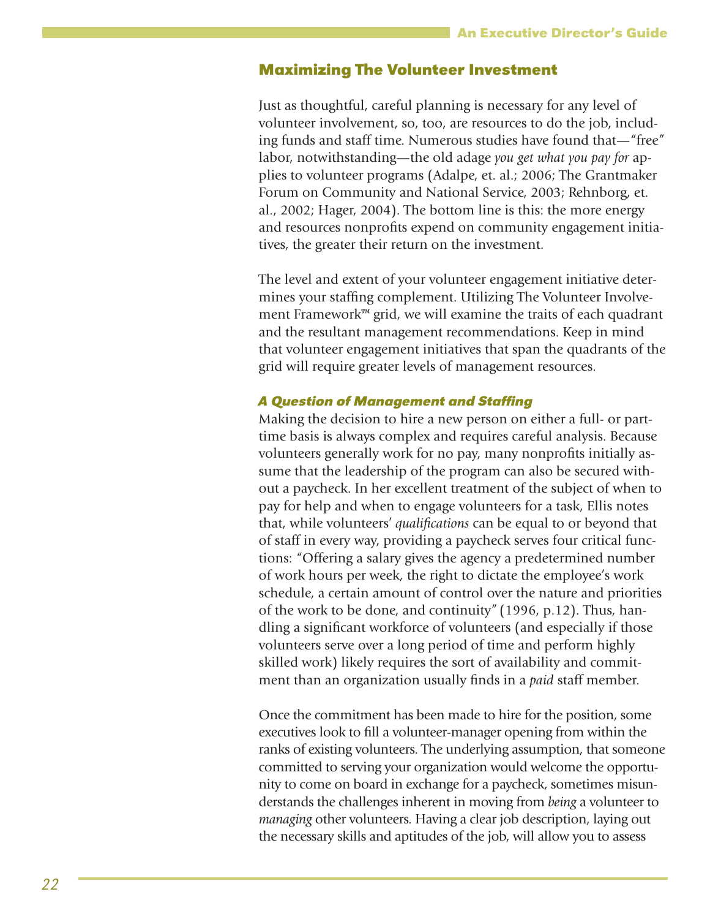#### **Maximizing The Volunteer Investment**

Just as thoughtful, careful planning is necessary for any level of volunteer involvement, so, too, are resources to do the job, including funds and staff time. Numerous studies have found that—"free" labor, notwithstanding—the old adage *you get what you pay for* applies to volunteer programs (Adalpe, et. al.; 2006; The Grantmaker Forum on Community and National Service, 2003; Rehnborg, et. al., 2002; Hager, 2004). The bottom line is this: the more energy and resources nonprofits expend on community engagement initiatives, the greater their return on the investment.

The level and extent of your volunteer engagement initiative determines your staffing complement. Utilizing The Volunteer Involvement Framework™ grid, we will examine the traits of each quadrant and the resultant management recommendations. Keep in mind that volunteer engagement initiatives that span the quadrants of the grid will require greater levels of management resources.

#### **A Question of Management and Staffing**

Making the decision to hire a new person on either a full- or parttime basis is always complex and requires careful analysis. Because volunteers generally work for no pay, many nonprofits initially assume that the leadership of the program can also be secured without a paycheck. In her excellent treatment of the subject of when to pay for help and when to engage volunteers for a task, Ellis notes that, while volunteers' *qualifications* can be equal to or beyond that of staff in every way, providing a paycheck serves four critical functions: "Offering a salary gives the agency a predetermined number of work hours per week, the right to dictate the employee's work schedule, a certain amount of control over the nature and priorities of the work to be done, and continuity" (1996, p.12). Thus, handling a significant workforce of volunteers (and especially if those volunteers serve over a long period of time and perform highly skilled work) likely requires the sort of availability and commitment than an organization usually finds in a *paid* staff member.

Once the commitment has been made to hire for the position, some executives look to fill a volunteer-manager opening from within the ranks of existing volunteers. The underlying assumption, that someone committed to serving your organization would welcome the opportunity to come on board in exchange for a paycheck, sometimes misunderstands the challenges inherent in moving from *being* a volunteer to *managing* other volunteers. Having a clear job description, laying out the necessary skills and aptitudes of the job, will allow you to assess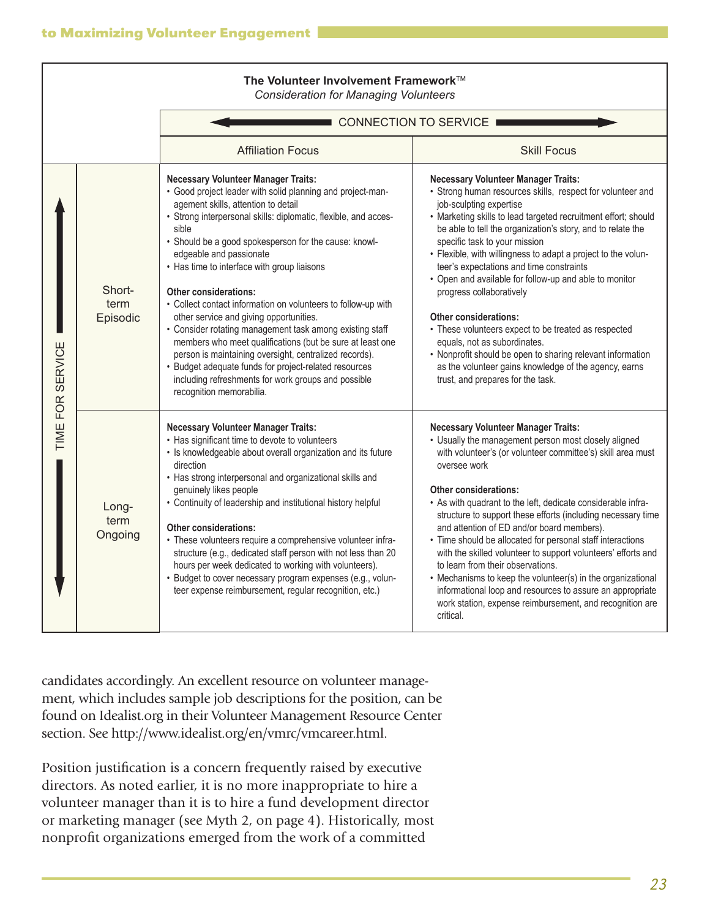| The Volunteer Involvement Framework™<br><b>Consideration for Managing Volunteers</b> |                            |                                                                                                                                                                                                                                                                                                                                                                                                                                                                                                                                                                                                                                                                                                                                                                                                                                    |                                                                                                                                                                                                                                                                                                                                                                                                                                                                                                                                                                                                                                                                                                                                                                                       |  |
|--------------------------------------------------------------------------------------|----------------------------|------------------------------------------------------------------------------------------------------------------------------------------------------------------------------------------------------------------------------------------------------------------------------------------------------------------------------------------------------------------------------------------------------------------------------------------------------------------------------------------------------------------------------------------------------------------------------------------------------------------------------------------------------------------------------------------------------------------------------------------------------------------------------------------------------------------------------------|---------------------------------------------------------------------------------------------------------------------------------------------------------------------------------------------------------------------------------------------------------------------------------------------------------------------------------------------------------------------------------------------------------------------------------------------------------------------------------------------------------------------------------------------------------------------------------------------------------------------------------------------------------------------------------------------------------------------------------------------------------------------------------------|--|
|                                                                                      |                            | CONNECTION TO SERVICE                                                                                                                                                                                                                                                                                                                                                                                                                                                                                                                                                                                                                                                                                                                                                                                                              |                                                                                                                                                                                                                                                                                                                                                                                                                                                                                                                                                                                                                                                                                                                                                                                       |  |
|                                                                                      |                            | <b>Affiliation Focus</b>                                                                                                                                                                                                                                                                                                                                                                                                                                                                                                                                                                                                                                                                                                                                                                                                           | <b>Skill Focus</b>                                                                                                                                                                                                                                                                                                                                                                                                                                                                                                                                                                                                                                                                                                                                                                    |  |
| TIME FOR SERVICE                                                                     | Short-<br>term<br>Episodic | <b>Necessary Volunteer Manager Traits:</b><br>• Good project leader with solid planning and project-man-<br>agement skills, attention to detail<br>• Strong interpersonal skills: diplomatic, flexible, and acces-<br>sible<br>• Should be a good spokesperson for the cause: knowl-<br>edgeable and passionate<br>• Has time to interface with group liaisons<br>Other considerations:<br>• Collect contact information on volunteers to follow-up with<br>other service and giving opportunities.<br>• Consider rotating management task among existing staff<br>members who meet qualifications (but be sure at least one<br>person is maintaining oversight, centralized records).<br>• Budget adequate funds for project-related resources<br>including refreshments for work groups and possible<br>recognition memorabilia. | <b>Necessary Volunteer Manager Traits:</b><br>• Strong human resources skills, respect for volunteer and<br>job-sculpting expertise<br>• Marketing skills to lead targeted recruitment effort; should<br>be able to tell the organization's story, and to relate the<br>specific task to your mission<br>• Flexible, with willingness to adapt a project to the volun-<br>teer's expectations and time constraints<br>• Open and available for follow-up and able to monitor<br>progress collaboratively<br>Other considerations:<br>• These volunteers expect to be treated as respected<br>equals, not as subordinates.<br>• Nonprofit should be open to sharing relevant information<br>as the volunteer gains knowledge of the agency, earns<br>trust, and prepares for the task. |  |
|                                                                                      | Long-<br>term<br>Ongoing   | <b>Necessary Volunteer Manager Traits:</b><br>• Has significant time to devote to volunteers<br>• Is knowledgeable about overall organization and its future<br>direction<br>• Has strong interpersonal and organizational skills and<br>genuinely likes people<br>• Continuity of leadership and institutional history helpful<br><b>Other considerations:</b><br>• These volunteers require a comprehensive volunteer infra-<br>structure (e.g., dedicated staff person with not less than 20<br>hours per week dedicated to working with volunteers).<br>• Budget to cover necessary program expenses (e.g., volun-<br>teer expense reimbursement, regular recognition, etc.)                                                                                                                                                   | <b>Necessary Volunteer Manager Traits:</b><br>• Usually the management person most closely aligned<br>with volunteer's (or volunteer committee's) skill area must<br>oversee work<br>Other considerations:<br>• As with quadrant to the left, dedicate considerable infra-<br>structure to support these efforts (including necessary time<br>and attention of ED and/or board members).<br>• Time should be allocated for personal staff interactions<br>with the skilled volunteer to support volunteers' efforts and<br>to learn from their observations.<br>• Mechanisms to keep the volunteer(s) in the organizational<br>informational loop and resources to assure an appropriate<br>work station, expense reimbursement, and recognition are<br>critical.                     |  |

candidates accordingly. An excellent resource on volunteer management, which includes sample job descriptions for the position, can be found on Idealist.org in their Volunteer Management Resource Center section. See http://www.idealist.org/en/vmrc/vmcareer.html.

Position justification is a concern frequently raised by executive directors. As noted earlier, it is no more inappropriate to hire a volunteer manager than it is to hire a fund development director or marketing manager (see Myth 2, on page 4). Historically, most nonprofit organizations emerged from the work of a committed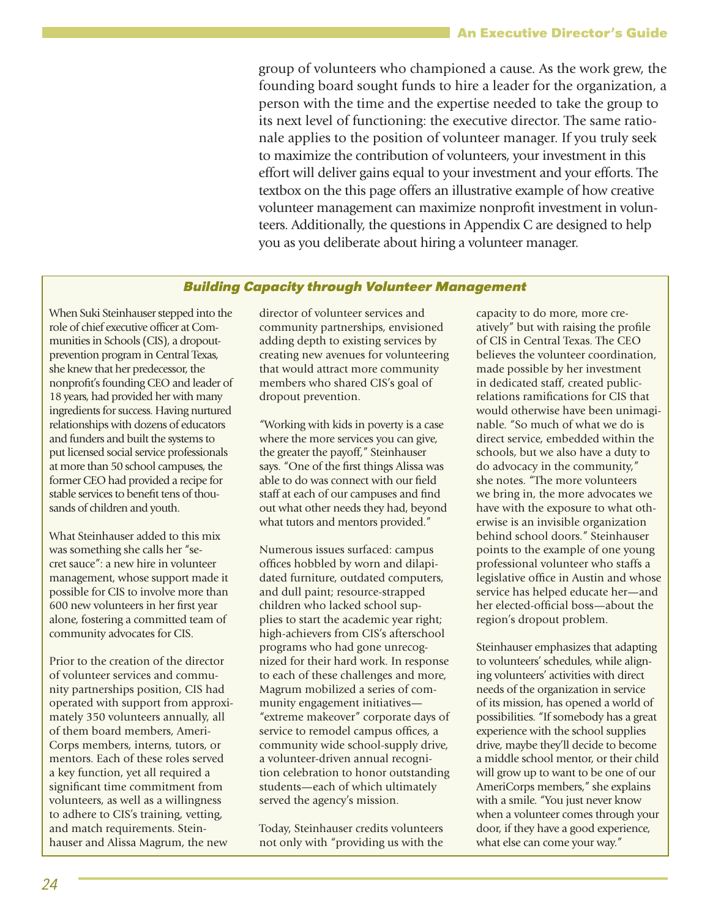group of volunteers who championed a cause. As the work grew, the founding board sought funds to hire a leader for the organization, a person with the time and the expertise needed to take the group to its next level of functioning: the executive director. The same rationale applies to the position of volunteer manager. If you truly seek to maximize the contribution of volunteers, your investment in this effort will deliver gains equal to your investment and your efforts. The textbox on the this page offers an illustrative example of how creative volunteer management can maximize nonprofit investment in volunteers. Additionally, the questions in Appendix C are designed to help you as you deliberate about hiring a volunteer manager.

#### **Building Capacity through Volunteer Management**

When Suki Steinhauser stepped into the role of chief executive officer at Communities in Schools (CIS), a dropoutprevention program in Central Texas, she knew that her predecessor, the nonprofit's founding CEO and leader of 18 years, had provided her with many ingredients for success. Having nurtured relationships with dozens of educators and funders and built the systems to put licensed social service professionals at more than 50 school campuses, the former CEO had provided a recipe for stable services to benefit tens of thousands of children and youth.

What Steinhauser added to this mix was something she calls her "secret sauce": a new hire in volunteer management, whose support made it possible for CIS to involve more than 600 new volunteers in her first year alone, fostering a committed team of community advocates for CIS.

Prior to the creation of the director of volunteer services and community partnerships position, CIS had operated with support from approximately 350 volunteers annually, all of them board members, Ameri-Corps members, interns, tutors, or mentors. Each of these roles served a key function, yet all required a significant time commitment from volunteers, as well as a willingness to adhere to CIS's training, vetting, and match requirements. Steinhauser and Alissa Magrum, the new

director of volunteer services and community partnerships, envisioned adding depth to existing services by creating new avenues for volunteering that would attract more community members who shared CIS's goal of dropout prevention.

"Working with kids in poverty is a case where the more services you can give, the greater the payoff," Steinhauser says. "One of the first things Alissa was able to do was connect with our field staff at each of our campuses and find out what other needs they had, beyond what tutors and mentors provided."

Numerous issues surfaced: campus offices hobbled by worn and dilapidated furniture, outdated computers, and dull paint; resource-strapped children who lacked school supplies to start the academic year right; high-achievers from CIS's afterschool programs who had gone unrecognized for their hard work. In response to each of these challenges and more, Magrum mobilized a series of community engagement initiatives— "extreme makeover" corporate days of service to remodel campus offices, a community wide school-supply drive, a volunteer-driven annual recognition celebration to honor outstanding students—each of which ultimately served the agency's mission.

Today, Steinhauser credits volunteers not only with "providing us with the

capacity to do more, more creatively" but with raising the profile of CIS in Central Texas. The CEO believes the volunteer coordination, made possible by her investment in dedicated staff, created publicrelations ramifications for CIS that would otherwise have been unimaginable. "So much of what we do is direct service, embedded within the schools, but we also have a duty to do advocacy in the community," she notes. "The more volunteers we bring in, the more advocates we have with the exposure to what otherwise is an invisible organization behind school doors." Steinhauser points to the example of one young professional volunteer who staffs a legislative office in Austin and whose service has helped educate her—and her elected-official boss—about the region's dropout problem.

Steinhauser emphasizes that adapting to volunteers' schedules, while aligning volunteers' activities with direct needs of the organization in service of its mission, has opened a world of possibilities. "If somebody has a great experience with the school supplies drive, maybe they'll decide to become a middle school mentor, or their child will grow up to want to be one of our AmeriCorps members," she explains with a smile. "You just never know when a volunteer comes through your door, if they have a good experience, what else can come your way."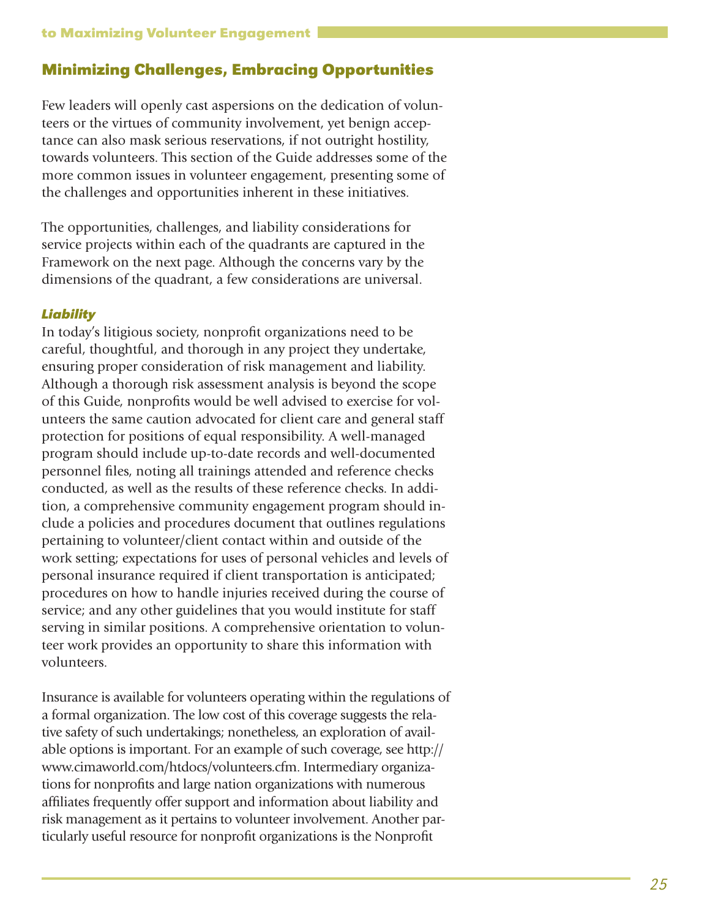#### **Minimizing Challenges, Embracing Opportunities**

Few leaders will openly cast aspersions on the dedication of volunteers or the virtues of community involvement, yet benign acceptance can also mask serious reservations, if not outright hostility, towards volunteers. This section of the Guide addresses some of the more common issues in volunteer engagement, presenting some of the challenges and opportunities inherent in these initiatives.

The opportunities, challenges, and liability considerations for service projects within each of the quadrants are captured in the Framework on the next page. Although the concerns vary by the dimensions of the quadrant, a few considerations are universal.

#### **Liability**

In today's litigious society, nonprofit organizations need to be careful, thoughtful, and thorough in any project they undertake, ensuring proper consideration of risk management and liability. Although a thorough risk assessment analysis is beyond the scope of this Guide, nonprofits would be well advised to exercise for volunteers the same caution advocated for client care and general staff protection for positions of equal responsibility. A well-managed program should include up-to-date records and well-documented personnel files, noting all trainings attended and reference checks conducted, as well as the results of these reference checks. In addition, a comprehensive community engagement program should include a policies and procedures document that outlines regulations pertaining to volunteer/client contact within and outside of the work setting; expectations for uses of personal vehicles and levels of personal insurance required if client transportation is anticipated; procedures on how to handle injuries received during the course of service; and any other guidelines that you would institute for staff serving in similar positions. A comprehensive orientation to volunteer work provides an opportunity to share this information with volunteers.

Insurance is available for volunteers operating within the regulations of a formal organization. The low cost of this coverage suggests the relative safety of such undertakings; nonetheless, an exploration of available options is important. For an example of such coverage, see http:// www.cimaworld.com/htdocs/volunteers.cfm. Intermediary organizations for nonprofits and large nation organizations with numerous affiliates frequently offer support and information about liability and risk management as it pertains to volunteer involvement. Another particularly useful resource for nonprofit organizations is the Nonprofit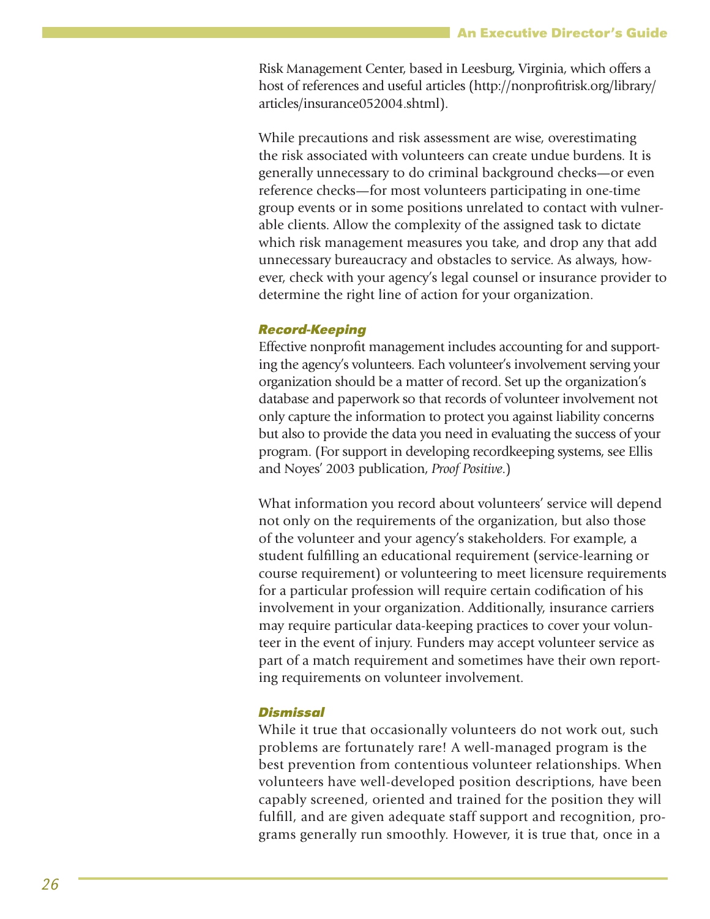Risk Management Center, based in Leesburg, Virginia, which offers a host of references and useful articles (http://nonprofitrisk.org/library/ articles/insurance052004.shtml).

While precautions and risk assessment are wise, overestimating the risk associated with volunteers can create undue burdens. It is generally unnecessary to do criminal background checks—or even reference checks—for most volunteers participating in one-time group events or in some positions unrelated to contact with vulnerable clients. Allow the complexity of the assigned task to dictate which risk management measures you take, and drop any that add unnecessary bureaucracy and obstacles to service. As always, however, check with your agency's legal counsel or insurance provider to determine the right line of action for your organization.

#### **Record-Keeping**

Effective nonprofit management includes accounting for and supporting the agency's volunteers. Each volunteer's involvement serving your organization should be a matter of record. Set up the organization's database and paperwork so that records of volunteer involvement not only capture the information to protect you against liability concerns but also to provide the data you need in evaluating the success of your program. (For support in developing recordkeeping systems, see Ellis and Noyes' 2003 publication, *Proof Positive*.)

What information you record about volunteers' service will depend not only on the requirements of the organization, but also those of the volunteer and your agency's stakeholders. For example, a student fulfilling an educational requirement (service-learning or course requirement) or volunteering to meet licensure requirements for a particular profession will require certain codification of his involvement in your organization. Additionally, insurance carriers may require particular data-keeping practices to cover your volunteer in the event of injury. Funders may accept volunteer service as part of a match requirement and sometimes have their own reporting requirements on volunteer involvement.

#### **Dismissal**

While it true that occasionally volunteers do not work out, such problems are fortunately rare! A well-managed program is the best prevention from contentious volunteer relationships. When volunteers have well-developed position descriptions, have been capably screened, oriented and trained for the position they will fulfill, and are given adequate staff support and recognition, programs generally run smoothly. However, it is true that, once in a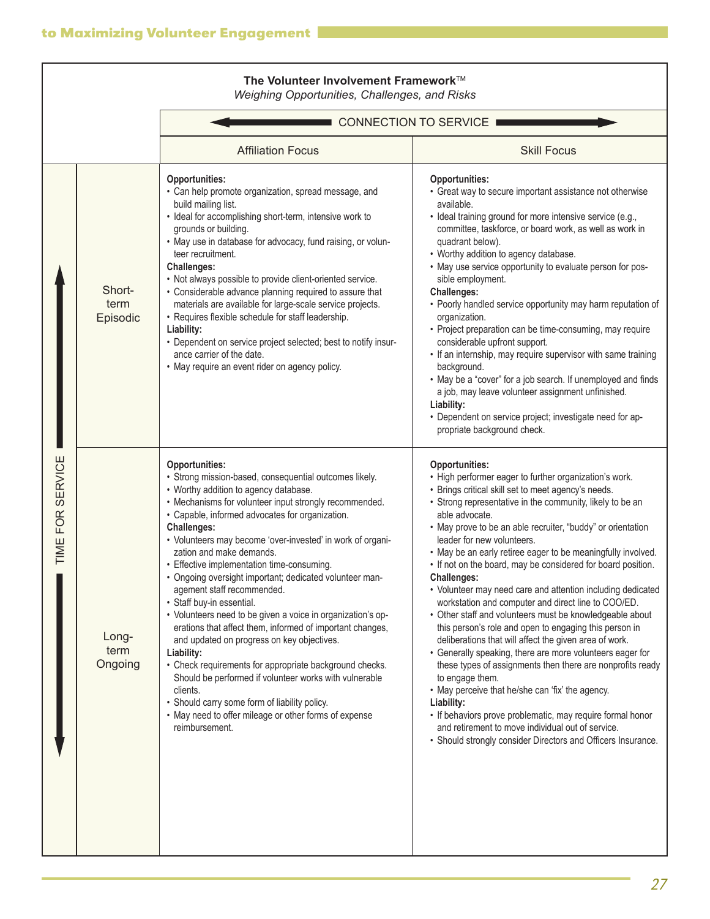| The Volunteer Involvement Framework™<br>Weighing Opportunities, Challenges, and Risks |                            |                                                                                                                                                                                                                                                                                                                                                                                                                                                                                                                                                                                                                                                                                                                                                                                                                                                                                                                                                                         |                                                                                                                                                                                                                                                                                                                                                                                                                                                                                                                                                                                                                                                                                                                                                                                                                                                                                                                                                                                                                                                                                                                                                                                   |
|---------------------------------------------------------------------------------------|----------------------------|-------------------------------------------------------------------------------------------------------------------------------------------------------------------------------------------------------------------------------------------------------------------------------------------------------------------------------------------------------------------------------------------------------------------------------------------------------------------------------------------------------------------------------------------------------------------------------------------------------------------------------------------------------------------------------------------------------------------------------------------------------------------------------------------------------------------------------------------------------------------------------------------------------------------------------------------------------------------------|-----------------------------------------------------------------------------------------------------------------------------------------------------------------------------------------------------------------------------------------------------------------------------------------------------------------------------------------------------------------------------------------------------------------------------------------------------------------------------------------------------------------------------------------------------------------------------------------------------------------------------------------------------------------------------------------------------------------------------------------------------------------------------------------------------------------------------------------------------------------------------------------------------------------------------------------------------------------------------------------------------------------------------------------------------------------------------------------------------------------------------------------------------------------------------------|
|                                                                                       |                            | <b>CONNECTION TO SERVICE</b>                                                                                                                                                                                                                                                                                                                                                                                                                                                                                                                                                                                                                                                                                                                                                                                                                                                                                                                                            |                                                                                                                                                                                                                                                                                                                                                                                                                                                                                                                                                                                                                                                                                                                                                                                                                                                                                                                                                                                                                                                                                                                                                                                   |
|                                                                                       |                            | <b>Affiliation Focus</b>                                                                                                                                                                                                                                                                                                                                                                                                                                                                                                                                                                                                                                                                                                                                                                                                                                                                                                                                                | <b>Skill Focus</b>                                                                                                                                                                                                                                                                                                                                                                                                                                                                                                                                                                                                                                                                                                                                                                                                                                                                                                                                                                                                                                                                                                                                                                |
| <b>SERVICE</b><br><b>FOR</b><br>TIME                                                  | Short-<br>term<br>Episodic | Opportunities:<br>• Can help promote organization, spread message, and<br>build mailing list.<br>• Ideal for accomplishing short-term, intensive work to<br>grounds or building.<br>• May use in database for advocacy, fund raising, or volun-<br>teer recruitment.<br>Challenges:<br>• Not always possible to provide client-oriented service.<br>• Considerable advance planning required to assure that<br>materials are available for large-scale service projects.<br>• Requires flexible schedule for staff leadership.<br>Liability:<br>• Dependent on service project selected; best to notify insur-<br>ance carrier of the date.<br>• May require an event rider on agency policy.                                                                                                                                                                                                                                                                           | <b>Opportunities:</b><br>• Great way to secure important assistance not otherwise<br>available.<br>· Ideal training ground for more intensive service (e.g.,<br>committee, taskforce, or board work, as well as work in<br>quadrant below).<br>• Worthy addition to agency database.<br>• May use service opportunity to evaluate person for pos-<br>sible employment.<br><b>Challenges:</b><br>• Poorly handled service opportunity may harm reputation of<br>organization.<br>• Project preparation can be time-consuming, may require<br>considerable upfront support.<br>• If an internship, may require supervisor with same training<br>background.<br>• May be a "cover" for a job search. If unemployed and finds<br>a job, may leave volunteer assignment unfinished.<br>Liability:<br>• Dependent on service project; investigate need for ap-<br>propriate background check.                                                                                                                                                                                                                                                                                           |
|                                                                                       | Long-<br>term<br>Ongoing   | <b>Opportunities:</b><br>· Strong mission-based, consequential outcomes likely.<br>• Worthy addition to agency database.<br>• Mechanisms for volunteer input strongly recommended.<br>• Capable, informed advocates for organization.<br>Challenges:<br>• Volunteers may become 'over-invested' in work of organi-<br>zation and make demands.<br>• Effective implementation time-consuming.<br>• Ongoing oversight important; dedicated volunteer man-<br>agement staff recommended.<br>· Staff buy-in essential.<br>• Volunteers need to be given a voice in organization's op-<br>erations that affect them, informed of important changes,<br>and updated on progress on key objectives.<br>Liability:<br>• Check requirements for appropriate background checks.<br>Should be performed if volunteer works with vulnerable<br>clients.<br>• Should carry some form of liability policy.<br>• May need to offer mileage or other forms of expense<br>reimbursement. | <b>Opportunities:</b><br>• High performer eager to further organization's work.<br>• Brings critical skill set to meet agency's needs.<br>• Strong representative in the community, likely to be an<br>able advocate.<br>• May prove to be an able recruiter, "buddy" or orientation<br>leader for new volunteers.<br>• May be an early retiree eager to be meaningfully involved.<br>• If not on the board, may be considered for board position.<br><b>Challenges:</b><br>• Volunteer may need care and attention including dedicated<br>workstation and computer and direct line to COO/ED.<br>• Other staff and volunteers must be knowledgeable about<br>this person's role and open to engaging this person in<br>deliberations that will affect the given area of work.<br>• Generally speaking, there are more volunteers eager for<br>these types of assignments then there are nonprofits ready<br>to engage them.<br>• May perceive that he/she can 'fix' the agency.<br>Liability:<br>· If behaviors prove problematic, may require formal honor<br>and retirement to move individual out of service.<br>• Should strongly consider Directors and Officers Insurance. |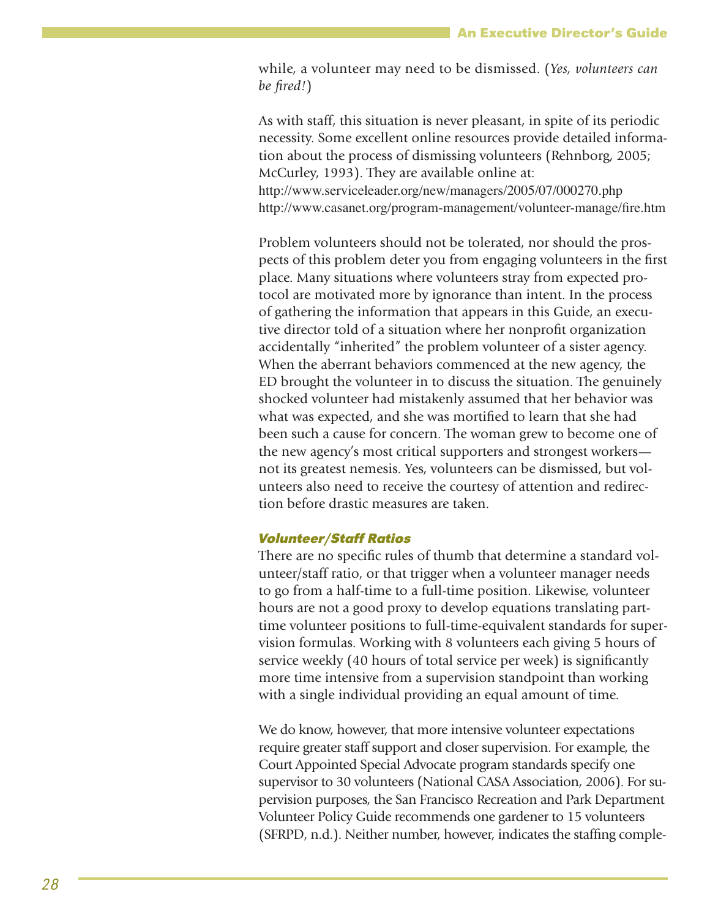while, a volunteer may need to be dismissed. (*Yes, volunteers can be fired!*)

As with staff, this situation is never pleasant, in spite of its periodic necessity. Some excellent online resources provide detailed information about the process of dismissing volunteers (Rehnborg, 2005; McCurley, 1993). They are available online at: http://www.serviceleader.org/new/managers/2005/07/000270.php http://www.casanet.org/program-management/volunteer-manage/fire.htm

Problem volunteers should not be tolerated, nor should the prospects of this problem deter you from engaging volunteers in the first place. Many situations where volunteers stray from expected protocol are motivated more by ignorance than intent. In the process of gathering the information that appears in this Guide, an executive director told of a situation where her nonprofit organization accidentally "inherited" the problem volunteer of a sister agency. When the aberrant behaviors commenced at the new agency, the ED brought the volunteer in to discuss the situation. The genuinely shocked volunteer had mistakenly assumed that her behavior was what was expected, and she was mortified to learn that she had been such a cause for concern. The woman grew to become one of the new agency's most critical supporters and strongest workers not its greatest nemesis. Yes, volunteers can be dismissed, but volunteers also need to receive the courtesy of attention and redirection before drastic measures are taken.

#### **Volunteer/Staff Ratios**

There are no specific rules of thumb that determine a standard volunteer/staff ratio, or that trigger when a volunteer manager needs to go from a half-time to a full-time position. Likewise, volunteer hours are not a good proxy to develop equations translating parttime volunteer positions to full-time-equivalent standards for supervision formulas. Working with 8 volunteers each giving 5 hours of service weekly (40 hours of total service per week) is significantly more time intensive from a supervision standpoint than working with a single individual providing an equal amount of time.

We do know, however, that more intensive volunteer expectations require greater staff support and closer supervision. For example, the Court Appointed Special Advocate program standards specify one supervisor to 30 volunteers (National CASA Association, 2006). For supervision purposes, the San Francisco Recreation and Park Department Volunteer Policy Guide recommends one gardener to 15 volunteers (SFRPD, n.d.). Neither number, however, indicates the staffing comple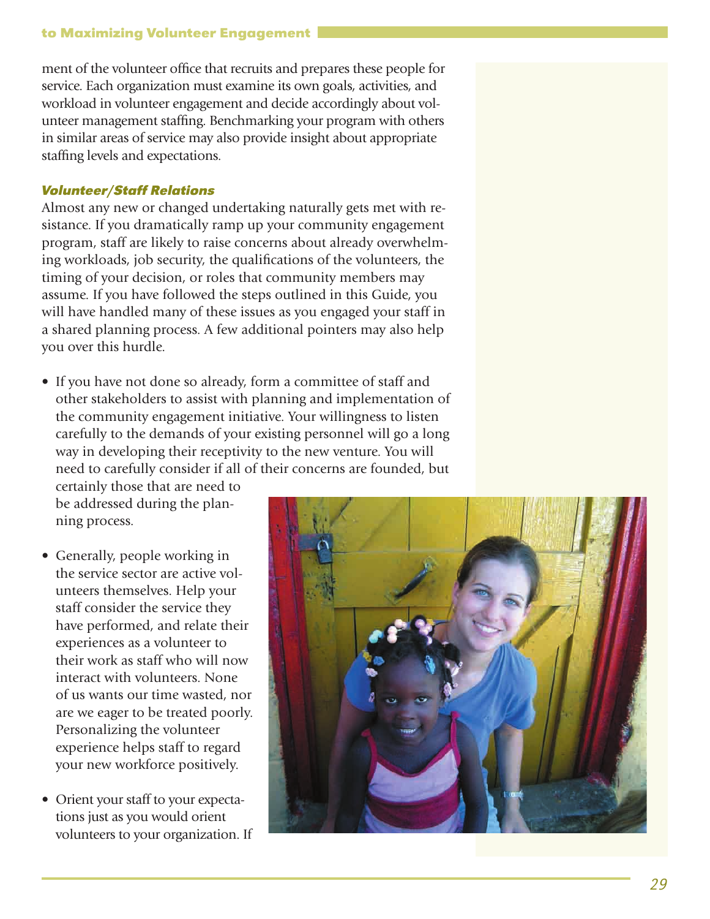ment of the volunteer office that recruits and prepares these people for service. Each organization must examine its own goals, activities, and workload in volunteer engagement and decide accordingly about volunteer management staffing. Benchmarking your program with others in similar areas of service may also provide insight about appropriate staffing levels and expectations.

#### **Volunteer/Staff Relations**

Almost any new or changed undertaking naturally gets met with resistance. If you dramatically ramp up your community engagement program, staff are likely to raise concerns about already overwhelming workloads, job security, the qualifications of the volunteers, the timing of your decision, or roles that community members may assume. If you have followed the steps outlined in this Guide, you will have handled many of these issues as you engaged your staff in a shared planning process. A few additional pointers may also help you over this hurdle.

• If you have not done so already, form a committee of staff and other stakeholders to assist with planning and implementation of the community engagement initiative. Your willingness to listen carefully to the demands of your existing personnel will go a long way in developing their receptivity to the new venture. You will need to carefully consider if all of their concerns are founded, but

certainly those that are need to be addressed during the planning process.

- Generally, people working in the service sector are active volunteers themselves. Help your staff consider the service they have performed, and relate their experiences as a volunteer to their work as staff who will now interact with volunteers. None of us wants our time wasted, nor are we eager to be treated poorly. Personalizing the volunteer experience helps staff to regard your new workforce positively.
- Orient your staff to your expectations just as you would orient volunteers to your organization. If

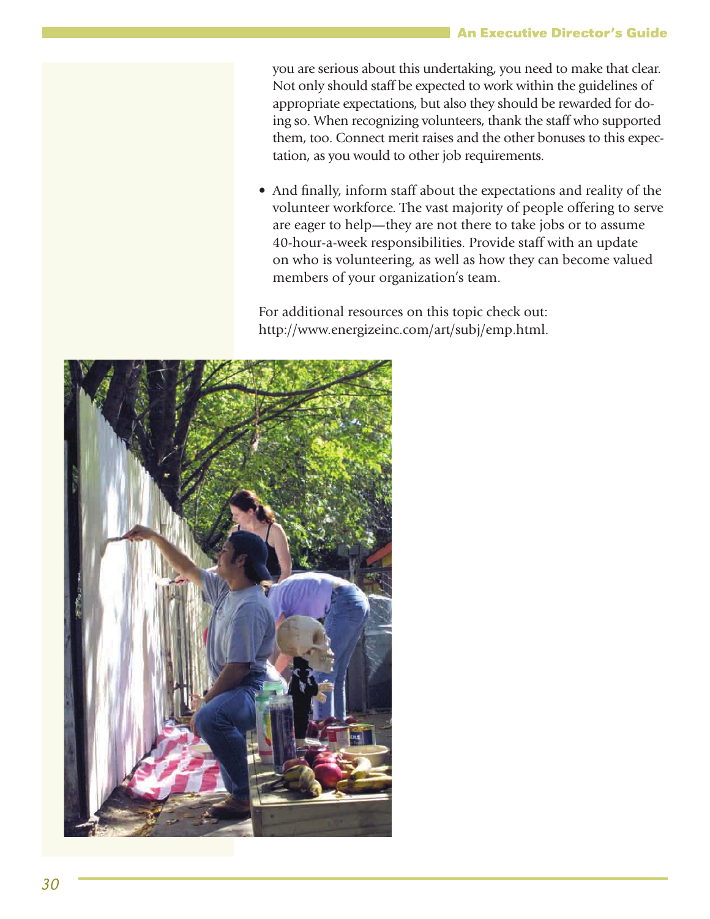you are serious about this undertaking, you need to make that clear. Not only should staff be expected to work within the guidelines of appropriate expectations, but also they should be rewarded for doing so. When recognizing volunteers, thank the staff who supported them, too. Connect merit raises and the other bonuses to this expectation, as you would to other job requirements.

• And finally, inform staff about the expectations and reality of the volunteer workforce. The vast majority of people offering to serve are eager to help—they are not there to take jobs or to assume 40-hour-a-week responsibilities. Provide staff with an update on who is volunteering, as well as how they can become valued members of your organization's team.

For additional resources on this topic check out: http://www.energizeinc.com/art/subj/emp.html.

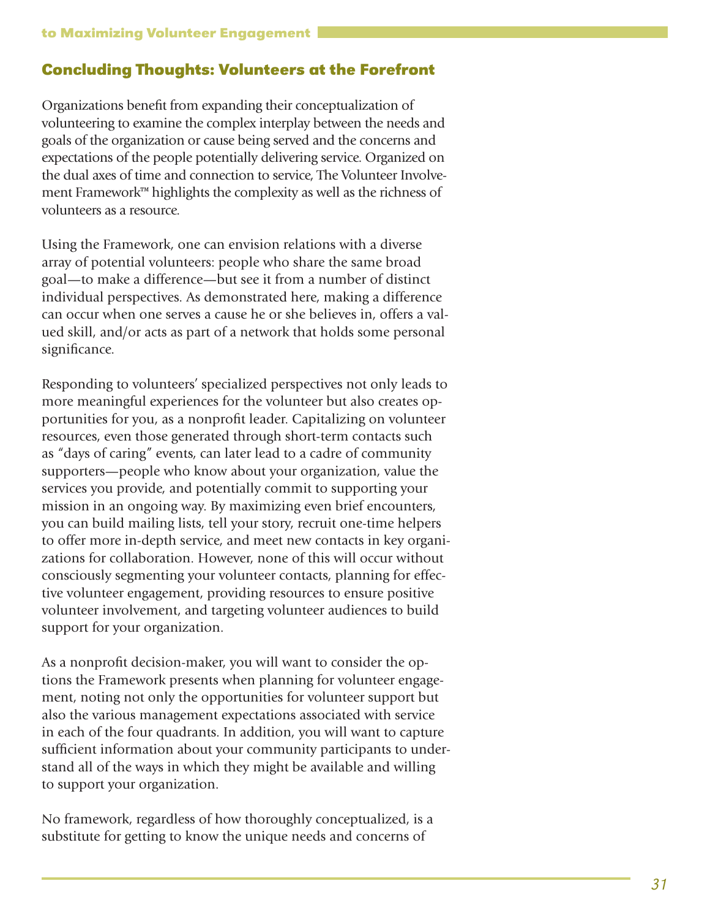#### **Concluding Thoughts: Volunteers at the Forefront**

Organizations benefit from expanding their conceptualization of volunteering to examine the complex interplay between the needs and goals of the organization or cause being served and the concerns and expectations of the people potentially delivering service. Organized on the dual axes of time and connection to service, The Volunteer Involvement Framework™ highlights the complexity as well as the richness of volunteers as a resource.

Using the Framework, one can envision relations with a diverse array of potential volunteers: people who share the same broad goal—to make a difference—but see it from a number of distinct individual perspectives. As demonstrated here, making a difference can occur when one serves a cause he or she believes in, offers a valued skill, and/or acts as part of a network that holds some personal significance.

Responding to volunteers' specialized perspectives not only leads to more meaningful experiences for the volunteer but also creates opportunities for you, as a nonprofit leader. Capitalizing on volunteer resources, even those generated through short-term contacts such as "days of caring" events, can later lead to a cadre of community supporters—people who know about your organization, value the services you provide, and potentially commit to supporting your mission in an ongoing way. By maximizing even brief encounters, you can build mailing lists, tell your story, recruit one-time helpers to offer more in-depth service, and meet new contacts in key organizations for collaboration. However, none of this will occur without consciously segmenting your volunteer contacts, planning for effective volunteer engagement, providing resources to ensure positive volunteer involvement, and targeting volunteer audiences to build support for your organization.

As a nonprofit decision-maker, you will want to consider the options the Framework presents when planning for volunteer engagement, noting not only the opportunities for volunteer support but also the various management expectations associated with service in each of the four quadrants. In addition, you will want to capture sufficient information about your community participants to understand all of the ways in which they might be available and willing to support your organization.

No framework, regardless of how thoroughly conceptualized, is a substitute for getting to know the unique needs and concerns of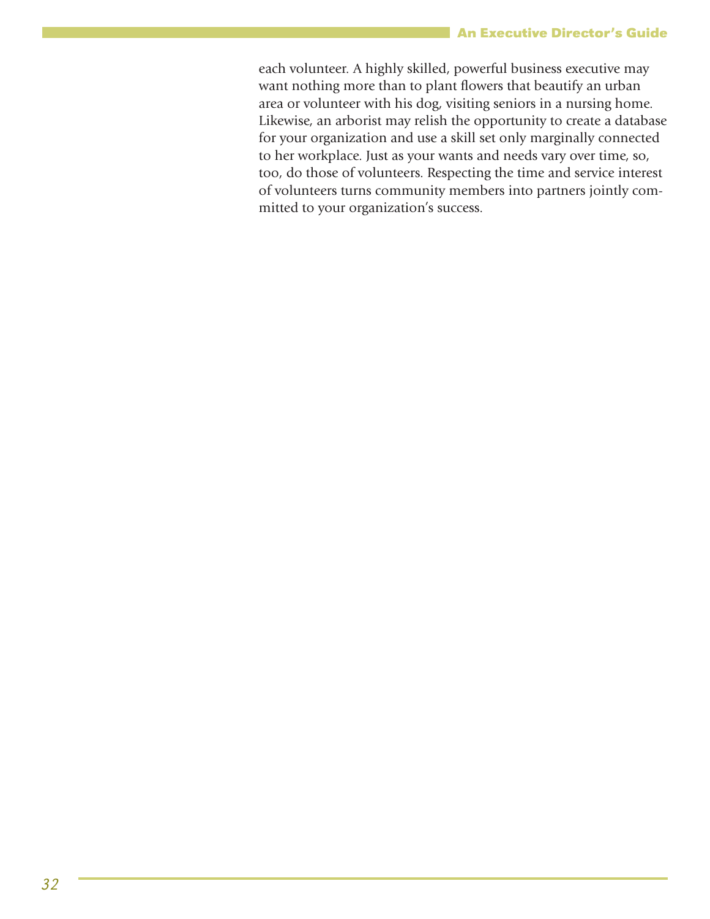each volunteer. A highly skilled, powerful business executive may want nothing more than to plant flowers that beautify an urban area or volunteer with his dog, visiting seniors in a nursing home. Likewise, an arborist may relish the opportunity to create a database for your organization and use a skill set only marginally connected to her workplace. Just as your wants and needs vary over time, so, too, do those of volunteers. Respecting the time and service interest of volunteers turns community members into partners jointly committed to your organization's success.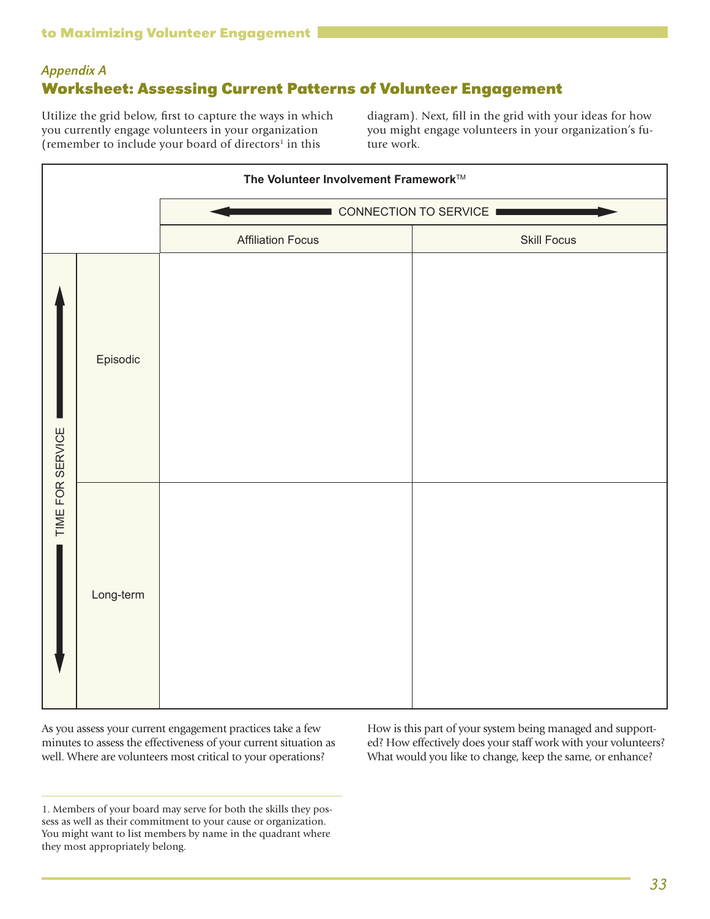## Appendix A **Worksheet: Assessing Current Patterns of Volunteer Engagement**

Utilize the grid below, first to capture the ways in which you currently engage volunteers in your organization (remember to include your board of directors<sup>1</sup> in this

diagram). Next, fill in the grid with your ideas for how you might engage volunteers in your organization's future work.

| The Volunteer Involvement Framework™ |           |                          |                    |
|--------------------------------------|-----------|--------------------------|--------------------|
| <b>CONNECTION TO SERVICE</b><br>■    |           |                          |                    |
|                                      |           | <b>Affiliation Focus</b> | <b>Skill Focus</b> |
| TIME FOR SERVICE                     | Episodic  |                          |                    |
|                                      | Long-term |                          |                    |

As you assess your current engagement practices take a few minutes to assess the effectiveness of your current situation as well. Where are volunteers most critical to your operations?

1. Members of your board may serve for both the skills they possess as well as their commitment to your cause or organization. You might want to list members by name in the quadrant where they most appropriately belong.

How is this part of your system being managed and supported? How effectively does your staff work with your volunteers? What would you like to change, keep the same, or enhance?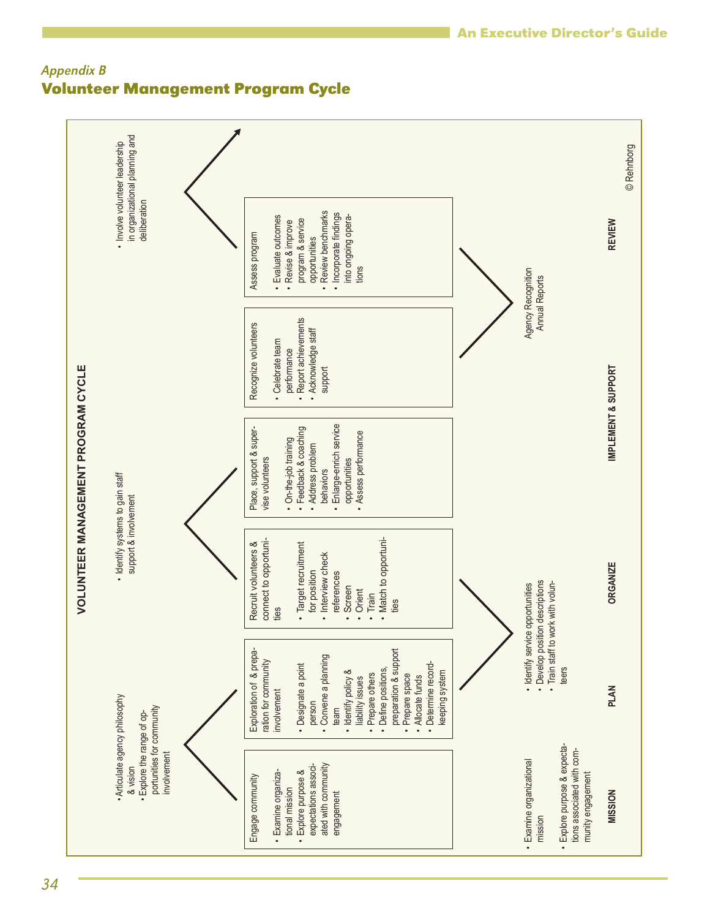## Appendix B **Volunteer Management Program Cycle**

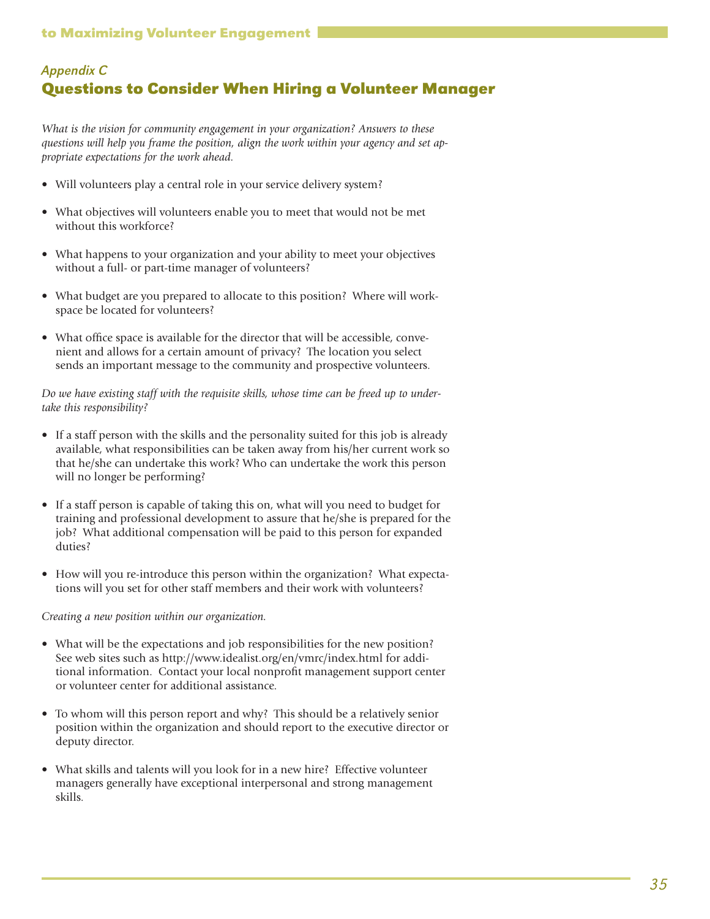## Appendix C **Questions to Consider When Hiring a Volunteer Manager**

*What is the vision for community engagement in your organization? Answers to these questions will help you frame the position, align the work within your agency and set appropriate expectations for the work ahead.*

- Will volunteers play a central role in your service delivery system?
- What objectives will volunteers enable you to meet that would not be met without this workforce?
- What happens to your organization and your ability to meet your objectives without a full- or part-time manager of volunteers?
- What budget are you prepared to allocate to this position? Where will workspace be located for volunteers?
- What office space is available for the director that will be accessible, convenient and allows for a certain amount of privacy? The location you select sends an important message to the community and prospective volunteers.

*Do we have existing staff with the requisite skills, whose time can be freed up to undertake this responsibility?*

- If a staff person with the skills and the personality suited for this job is already available, what responsibilities can be taken away from his/her current work so that he/she can undertake this work? Who can undertake the work this person will no longer be performing?
- If a staff person is capable of taking this on, what will you need to budget for training and professional development to assure that he/she is prepared for the job? What additional compensation will be paid to this person for expanded duties?
- How will you re-introduce this person within the organization? What expectations will you set for other staff members and their work with volunteers?

*Creating a new position within our organization.*

- What will be the expectations and job responsibilities for the new position? See web sites such as http://www.idealist.org/en/vmrc/index.html for additional information. Contact your local nonprofit management support center or volunteer center for additional assistance.
- To whom will this person report and why? This should be a relatively senior position within the organization and should report to the executive director or deputy director.
- What skills and talents will you look for in a new hire? Effective volunteer managers generally have exceptional interpersonal and strong management skills.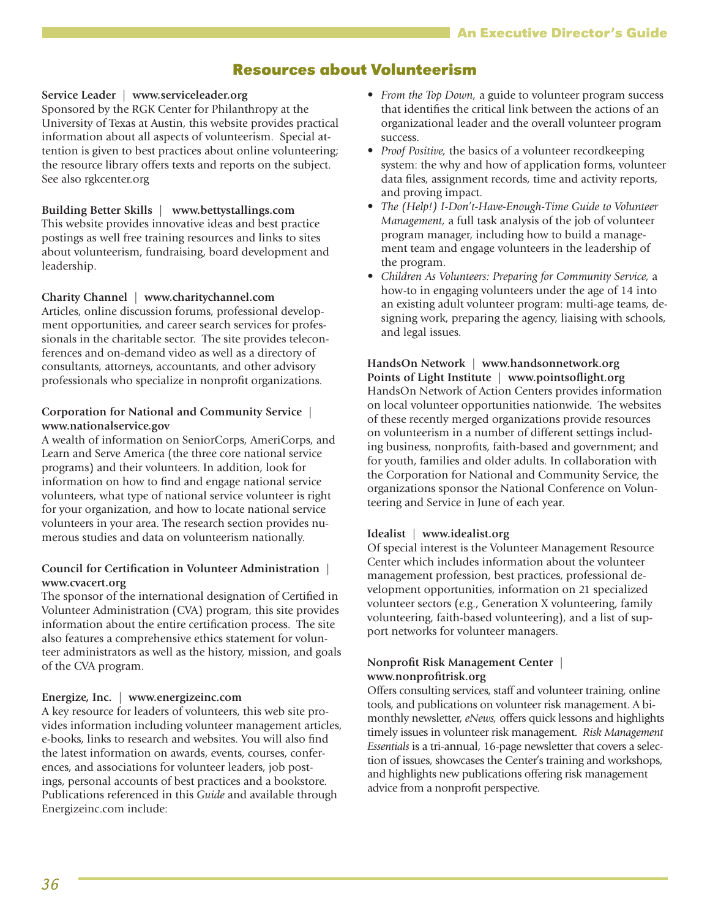## **Resources about Volunteerism**

#### **Service Leader | www.serviceleader.org**

Sponsored by the RGK Center for Philanthropy at the University of Texas at Austin, this website provides practical information about all aspects of volunteerism. Special attention is given to best practices about online volunteering; the resource library offers texts and reports on the subject. See also rgkcenter.org

#### **Building Better Skills | www.bettystallings.com**

This website provides innovative ideas and best practice postings as well free training resources and links to sites about volunteerism, fundraising, board development and leadership.

#### **Charity Channel | www.charitychannel.com**

Articles, online discussion forums, professional development opportunities, and career search services for professionals in the charitable sector. The site provides teleconferences and on-demand video as well as a directory of consultants, attorneys, accountants, and other advisory professionals who specialize in nonprofit organizations.

#### **Corporation for National and Community Service | www.nationalservice.gov**

A wealth of information on SeniorCorps, AmeriCorps, and Learn and Serve America (the three core national service programs) and their volunteers. In addition, look for information on how to find and engage national service volunteers, what type of national service volunteer is right for your organization, and how to locate national service volunteers in your area. The research section provides numerous studies and data on volunteerism nationally.

#### **Council for Certification in Volunteer Administration | www.cvacert.org**

The sponsor of the international designation of Certified in Volunteer Administration (CVA) program, this site provides information about the entire certification process. The site also features a comprehensive ethics statement for volunteer administrators as well as the history, mission, and goals of the CVA program.

#### **Energize, Inc. | www.energizeinc.com**

A key resource for leaders of volunteers, this web site provides information including volunteer management articles, e-books, links to research and websites. You will also find the latest information on awards, events, courses, conferences, and associations for volunteer leaders, job postings, personal accounts of best practices and a bookstore. Publications referenced in this *Guide* and available through Energizeinc.com include:

- *• From the Top Down,* a guide to volunteer program success that identifies the critical link between the actions of an organizational leader and the overall volunteer program success.
- *• Proof Positive,* the basics of a volunteer recordkeeping system: the why and how of application forms, volunteer data files, assignment records, time and activity reports, and proving impact.
- *• The (Help!) I-Don't-Have-Enough-Time Guide to Volunteer Management,* a full task analysis of the job of volunteer program manager, including how to build a management team and engage volunteers in the leadership of the program.
- *• Children As Volunteers: Preparing for Community Service,* a how-to in engaging volunteers under the age of 14 into an existing adult volunteer program: multi-age teams, designing work, preparing the agency, liaising with schools, and legal issues.

#### **HandsOn Network | www.handsonnetwork.org Points of Light Institute | www.pointsoflight.org**

HandsOn Network of Action Centers provides information on local volunteer opportunities nationwide. The websites of these recently merged organizations provide resources on volunteerism in a number of different settings including business, nonprofits, faith-based and government; and for youth, families and older adults. In collaboration with the Corporation for National and Community Service, the organizations sponsor the National Conference on Volunteering and Service in June of each year.

#### **Idealist | www.idealist.org**

Of special interest is the Volunteer Management Resource Center which includes information about the volunteer management profession, best practices, professional development opportunities, information on 21 specialized volunteer sectors (e.g., Generation X volunteering, family volunteering, faith-based volunteering), and a list of support networks for volunteer managers.

#### **Nonprofit Risk Management Center | www.nonprofitrisk.org**

Offers consulting services, staff and volunteer training, online tools, and publications on volunteer risk management. A bimonthly newsletter, *eNews,* offers quick lessons and highlights timely issues in volunteer risk management. *Risk Management Essentials* is a tri-annual, 16-page newsletter that covers a selection of issues, showcases the Center's training and workshops, and highlights new publications offering risk management advice from a nonprofit perspective.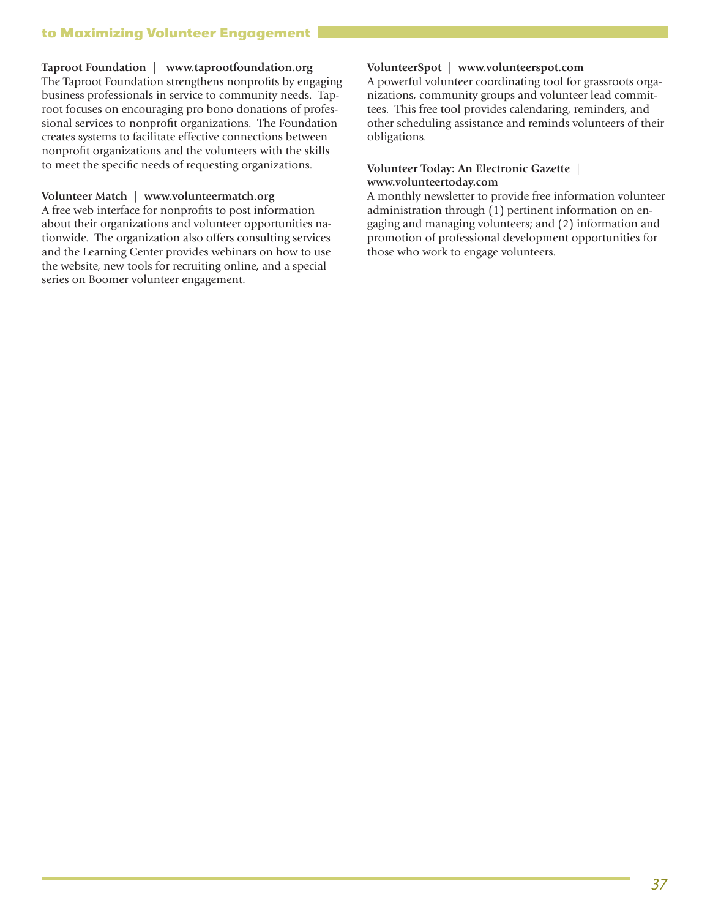#### **Taproot Foundation | www.taprootfoundation.org**

The Taproot Foundation strengthens nonprofits by engaging business professionals in service to community needs. Taproot focuses on encouraging pro bono donations of professional services to nonprofit organizations. The Foundation creates systems to facilitate effective connections between nonprofit organizations and the volunteers with the skills to meet the specific needs of requesting organizations.

#### **Volunteer Match | www.volunteermatch.org**

A free web interface for nonprofits to post information about their organizations and volunteer opportunities nationwide. The organization also offers consulting services and the Learning Center provides webinars on how to use the website, new tools for recruiting online, and a special series on Boomer volunteer engagement.

#### **VolunteerSpot | www.volunteerspot.com**

A powerful volunteer coordinating tool for grassroots organizations, community groups and volunteer lead committees. This free tool provides calendaring, reminders, and other scheduling assistance and reminds volunteers of their obligations.

#### **Volunteer Today: An Electronic Gazette | www.volunteertoday.com**

A monthly newsletter to provide free information volunteer administration through (1) pertinent information on engaging and managing volunteers; and (2) information and promotion of professional development opportunities for those who work to engage volunteers.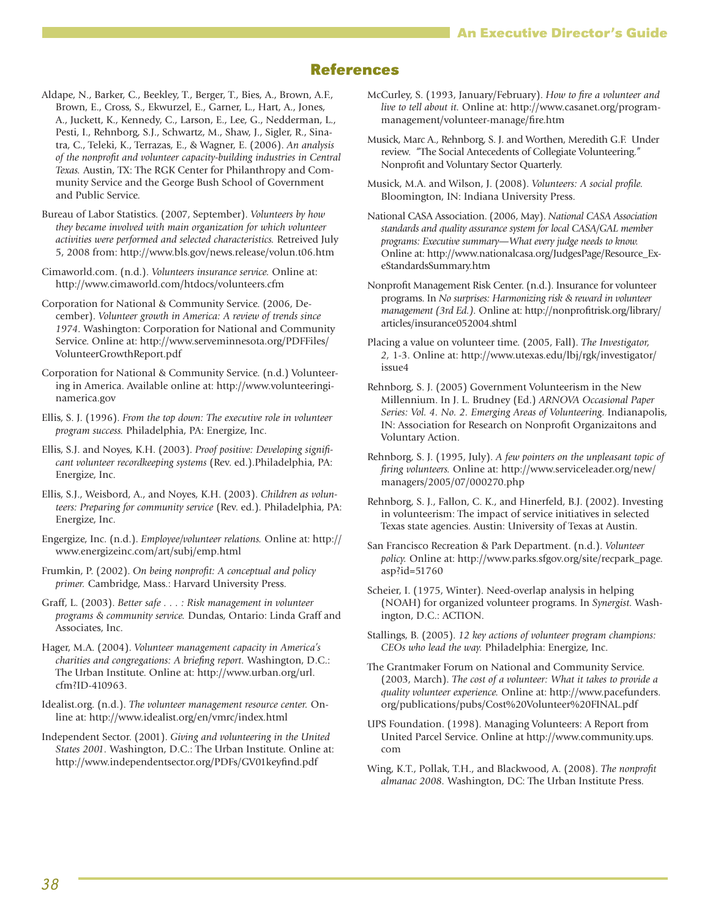#### **References**

Aldape, N., Barker, C., Beekley, T., Berger, T., Bies, A., Brown, A.F., Brown, E., Cross, S., Ekwurzel, E., Garner, L., Hart, A., Jones, A., Juckett, K., Kennedy, C., Larson, E., Lee, G., Nedderman, L., Pesti, I., Rehnborg, S.J., Schwartz, M., Shaw, J., Sigler, R., Sinatra, C., Teleki, K., Terrazas, E., & Wagner, E. (2006). *An analysis of the nonprofit and volunteer capacity-building industries in Central Texas.* Austin, TX: The RGK Center for Philanthropy and Community Service and the George Bush School of Government and Public Service.

Bureau of Labor Statistics. (2007, September). *Volunteers by how they became involved with main organization for which volunteer activities were performed and selected characteristics.* Retreived July 5, 2008 from: http://www.bls.gov/news.release/volun.t06.htm

Cimaworld.com. (n.d.). *Volunteers insurance service.* Online at: http://www.cimaworld.com/htdocs/volunteers.cfm

Corporation for National & Community Service. (2006, December). *Volunteer growth in America: A review of trends since 1974.* Washington: Corporation for National and Community Service. Online at: http://www.serveminnesota.org/PDFFiles/ VolunteerGrowthReport.pdf

Corporation for National & Community Service. (n.d.) Volunteering in America. Available online at: http://www.volunteeringinamerica.gov

Ellis, S. J. (1996). *From the top down: The executive role in volunteer program success.* Philadelphia, PA: Energize, Inc.

Ellis, S.J. and Noyes, K.H. (2003). *Proof positive: Developing significant volunteer recordkeeping systems* (Rev. ed.).Philadelphia, PA: Energize, Inc.

Ellis, S.J., Weisbord, A., and Noyes, K.H. (2003). *Children as volunteers: Preparing for community service* (Rev. ed.). Philadelphia, PA: Energize, Inc.

Engergize, Inc. (n.d.). *Employee/volunteer relations.* Online at: http:// www.energizeinc.com/art/subj/emp.html

Frumkin, P. (2002). *On being nonprofit: A conceptual and policy primer.* Cambridge, Mass.: Harvard University Press.

Graff, L. (2003). *Better safe . . . : Risk management in volunteer programs & community service.* Dundas, Ontario: Linda Graff and Associates, Inc.

Hager, M.A. (2004). *Volunteer management capacity in America's charities and congregations: A briefing report.* Washington, D.C.: The Urban Institute. Online at: http://www.urban.org/url. cfm?ID-410963.

Idealist.org. (n.d.). *The volunteer management resource center.* Online at: http://www.idealist.org/en/vmrc/index.html

Independent Sector. (2001). *Giving and volunteering in the United States 2001.* Washington, D.C.: The Urban Institute. Online at: http://www.independentsector.org/PDFs/GV01keyfind.pdf

McCurley, S. (1993, January/February). *How to fire a volunteer and live to tell about it.* Online at: http://www.casanet.org/programmanagement/volunteer-manage/fire.htm

Musick, Marc A., Rehnborg, S. J. and Worthen, Meredith G.F. Under review. "The Social Antecedents of Collegiate Volunteering." Nonprofit and Voluntary Sector Quarterly.

Musick, M.A. and Wilson, J. (2008). *Volunteers: A social profile.* Bloomington, IN: Indiana University Press.

National CASA Association. (2006, May). *National CASA Association standards and quality assurance system for local CASA/GAL member programs: Executive summary—What every judge needs to know.*  Online at: http://www.nationalcasa.org/JudgesPage/Resource\_ExeStandardsSummary.htm

Nonprofit Management Risk Center. (n.d.). Insurance for volunteer programs. In *No surprises: Harmonizing risk & reward in volunteer management (3rd Ed.).* Online at: http://nonprofitrisk.org/library/ articles/insurance052004.shtml

Placing a value on volunteer time. (2005, Fall). *The Investigator, 2,* 1-3. Online at: http://www.utexas.edu/lbj/rgk/investigator/ issue4

Rehnborg, S. J. (2005) Government Volunteerism in the New Millennium. In J. L. Brudney (Ed.) *ARNOVA Occasional Paper Series: Vol. 4. No. 2. Emerging Areas of Volunteering.* Indianapolis, IN: Association for Research on Nonprofit Organizaitons and Voluntary Action.

Rehnborg, S. J. (1995, July). *A few pointers on the unpleasant topic of firing volunteers.* Online at: http://www.serviceleader.org/new/ managers/2005/07/000270.php

Rehnborg, S. J., Fallon, C. K., and Hinerfeld, B.J. (2002). Investing in volunteerism: The impact of service initiatives in selected Texas state agencies. Austin: University of Texas at Austin.

San Francisco Recreation & Park Department. (n.d.). *Volunteer policy.* Online at: http://www.parks.sfgov.org/site/recpark\_page. asp?id=51760

Scheier, I. (1975, Winter). Need-overlap analysis in helping (NOAH) for organized volunteer programs. In *Synergist.* Washington, D.C.: ACTION.

Stallings, B. (2005). *12 key actions of volunteer program champions: CEOs who lead the way.* Philadelphia: Energize, Inc.

The Grantmaker Forum on National and Community Service. (2003, March). *The cost of a volunteer: What it takes to provide a quality volunteer experience.* Online at: http://www.pacefunders. org/publications/pubs/Cost%20Volunteer%20FINAL.pdf

UPS Foundation. (1998). Managing Volunteers: A Report from United Parcel Service. Online at http://www.community.ups. com

Wing, K.T., Pollak, T.H., and Blackwood, A. (2008). *The nonprofit almanac 2008.* Washington, DC: The Urban Institute Press.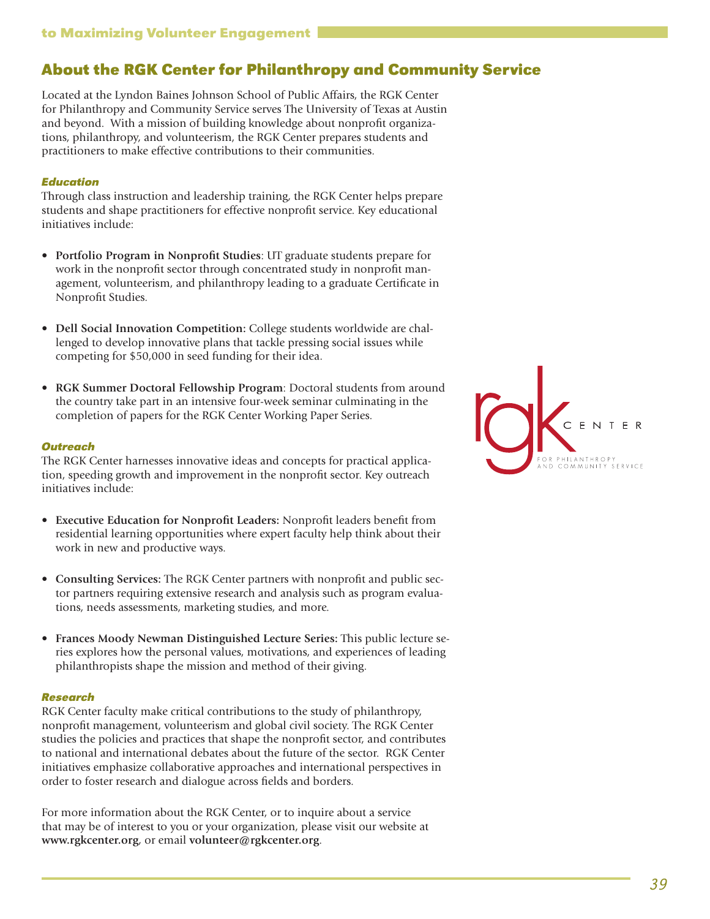## **About the RGK Center for Philanthropy and Community Service**

Located at the Lyndon Baines Johnson School of Public Affairs, the RGK Center for Philanthropy and Community Service serves The University of Texas at Austin and beyond. With a mission of building knowledge about nonprofit organizations, philanthropy, and volunteerism, the RGK Center prepares students and practitioners to make effective contributions to their communities.

#### **Education**

Through class instruction and leadership training, the RGK Center helps prepare students and shape practitioners for effective nonprofit service. Key educational initiatives include:

- **• Portfolio Program in Nonprofit Studies**: UT graduate students prepare for work in the nonprofit sector through concentrated study in nonprofit management, volunteerism, and philanthropy leading to a graduate Certificate in Nonprofit Studies.
- **• Dell Social Innovation Competition:** College students worldwide are challenged to develop innovative plans that tackle pressing social issues while competing for \$50,000 in seed funding for their idea.
- **• RGK Summer Doctoral Fellowship Program**: Doctoral students from around the country take part in an intensive four-week seminar culminating in the completion of papers for the RGK Center Working Paper Series.

#### **Outreach**

The RGK Center harnesses innovative ideas and concepts for practical application, speeding growth and improvement in the nonprofit sector. Key outreach initiatives include:

- **• Executive Education for Nonprofit Leaders:** Nonprofit leaders benefit from residential learning opportunities where expert faculty help think about their work in new and productive ways.
- **• Consulting Services:** The RGK Center partners with nonprofit and public sector partners requiring extensive research and analysis such as program evaluations, needs assessments, marketing studies, and more.
- **• Frances Moody Newman Distinguished Lecture Series:** This public lecture series explores how the personal values, motivations, and experiences of leading philanthropists shape the mission and method of their giving.

#### **Research**

RGK Center faculty make critical contributions to the study of philanthropy, nonprofit management, volunteerism and global civil society. The RGK Center studies the policies and practices that shape the nonprofit sector, and contributes to national and international debates about the future of the sector. RGK Center initiatives emphasize collaborative approaches and international perspectives in order to foster research and dialogue across fields and borders.

For more information about the RGK Center, or to inquire about a service that may be of interest to you or your organization, please visit our website at **www.rgkcenter.org**, or email **volunteer@rgkcenter.org**.

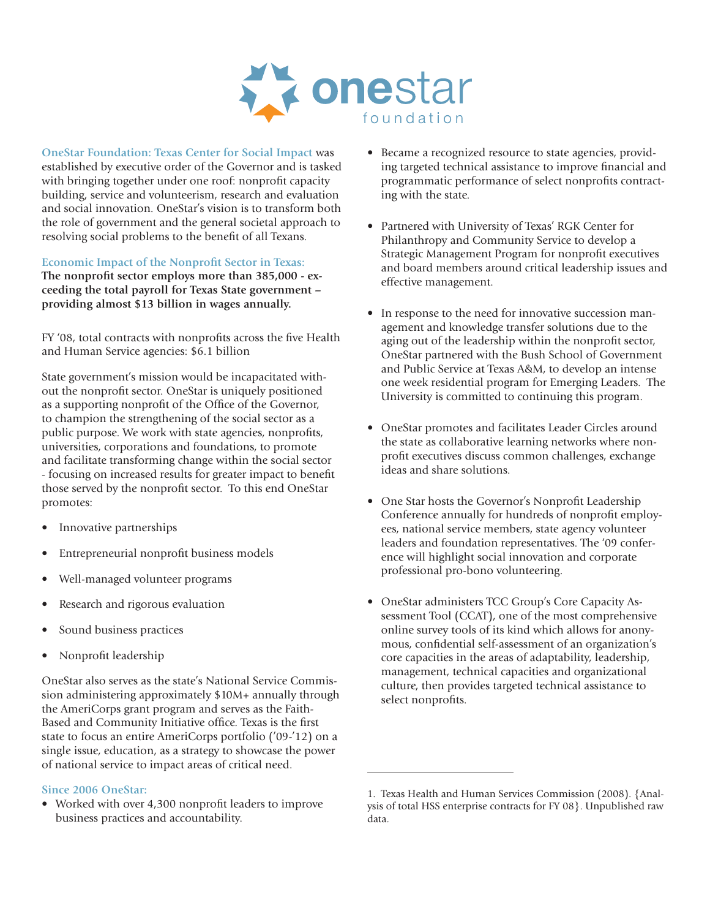

**OneStar Foundation: Texas Center for Social Impact** was established by executive order of the Governor and is tasked with bringing together under one roof: nonprofit capacity building, service and volunteerism, research and evaluation and social innovation. OneStar's vision is to transform both the role of government and the general societal approach to resolving social problems to the benefit of all Texans.

**Economic Impact of the Nonprofit Sector in Texas:**

**The nonprofit sector employs more than 385,000 - exceeding the total payroll for Texas State government – providing almost \$13 billion in wages annually.**

FY '08, total contracts with nonprofits across the five Health and Human Service agencies: \$6.1 billion

State government's mission would be incapacitated without the nonprofit sector. OneStar is uniquely positioned as a supporting nonprofit of the Office of the Governor, to champion the strengthening of the social sector as a public purpose. We work with state agencies, nonprofits, universities, corporations and foundations, to promote and facilitate transforming change within the social sector - focusing on increased results for greater impact to benefit those served by the nonprofit sector. To this end OneStar promotes:

- Innovative partnerships
- Entrepreneurial nonprofit business models
- Well-managed volunteer programs
- Research and rigorous evaluation
- Sound business practices
- Nonprofit leadership

OneStar also serves as the state's National Service Commission administering approximately \$10M+ annually through the AmeriCorps grant program and serves as the Faith-Based and Community Initiative office. Texas is the first state to focus an entire AmeriCorps portfolio ('09-'12) on a single issue, education, as a strategy to showcase the power of national service to impact areas of critical need.

#### **Since 2006 OneStar:**

• Worked with over 4,300 nonprofit leaders to improve business practices and accountability.

- Became a recognized resource to state agencies, providing targeted technical assistance to improve financial and programmatic performance of select nonprofits contracting with the state.
- Partnered with University of Texas' RGK Center for Philanthropy and Community Service to develop a Strategic Management Program for nonprofit executives and board members around critical leadership issues and effective management.
- In response to the need for innovative succession management and knowledge transfer solutions due to the aging out of the leadership within the nonprofit sector, OneStar partnered with the Bush School of Government and Public Service at Texas A&M, to develop an intense one week residential program for Emerging Leaders. The University is committed to continuing this program.
- • OneStar promotes and facilitates Leader Circles around the state as collaborative learning networks where nonprofit executives discuss common challenges, exchange ideas and share solutions.
- One Star hosts the Governor's Nonprofit Leadership Conference annually for hundreds of nonprofit employees, national service members, state agency volunteer leaders and foundation representatives. The '09 conference will highlight social innovation and corporate professional pro-bono volunteering.
- OneStar administers TCC Group's Core Capacity Assessment Tool (CCAT), one of the most comprehensive online survey tools of its kind which allows for anonymous, confidential self-assessment of an organization's core capacities in the areas of adaptability, leadership, management, technical capacities and organizational culture, then provides targeted technical assistance to select nonprofits.

<sup>1.</sup> Texas Health and Human Services Commission (2008). {Analysis of total HSS enterprise contracts for FY 08}. Unpublished raw data.